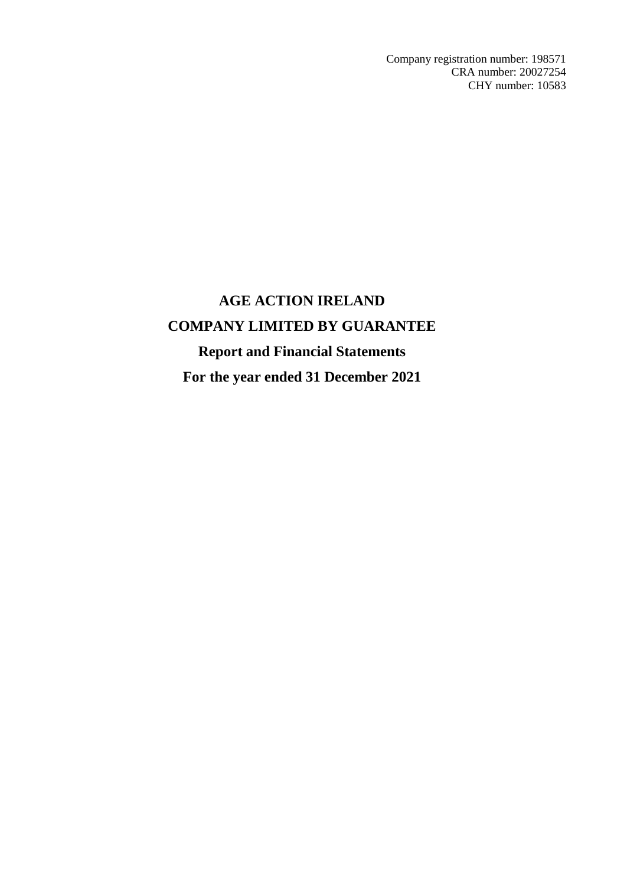Company registration number: 198571 CRA number: 20027254 CHY number: 10583

# **AGE ACTION IRELAND COMPANY LIMITED BY GUARANTEE Report and Financial Statements For the year ended 31 December 2021**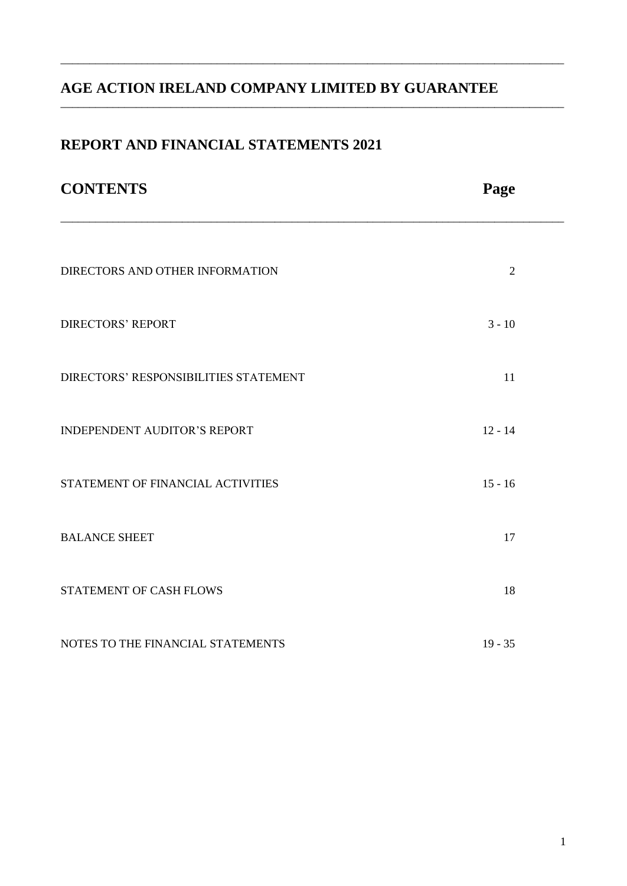\_\_\_\_\_\_\_\_\_\_\_\_\_\_\_\_\_\_\_\_\_\_\_\_\_\_\_\_\_\_\_\_\_\_\_\_\_\_\_\_\_\_\_\_\_\_\_\_\_\_\_\_\_\_\_\_\_\_\_\_\_\_\_\_\_\_\_\_\_\_\_\_\_\_\_\_\_\_\_\_\_\_\_\_\_\_\_

\_\_\_\_\_\_\_\_\_\_\_\_\_\_\_\_\_\_\_\_\_\_\_\_\_\_\_\_\_\_\_\_\_\_\_\_\_\_\_\_\_\_\_\_\_\_\_\_\_\_\_\_\_\_\_\_\_\_\_\_\_\_\_\_\_\_\_\_\_\_\_\_\_\_\_\_\_\_\_\_\_\_\_\_\_\_\_

# **REPORT AND FINANCIAL STATEMENTS 2021**

| <b>CONTENTS</b>                       | Page           |
|---------------------------------------|----------------|
| DIRECTORS AND OTHER INFORMATION       | $\overline{2}$ |
| <b>DIRECTORS' REPORT</b>              | $3 - 10$       |
| DIRECTORS' RESPONSIBILITIES STATEMENT | 11             |
| <b>INDEPENDENT AUDITOR'S REPORT</b>   | $12 - 14$      |
| STATEMENT OF FINANCIAL ACTIVITIES     | $15 - 16$      |
| <b>BALANCE SHEET</b>                  | 17             |
| STATEMENT OF CASH FLOWS               | 18             |
| NOTES TO THE FINANCIAL STATEMENTS     | $19 - 35$      |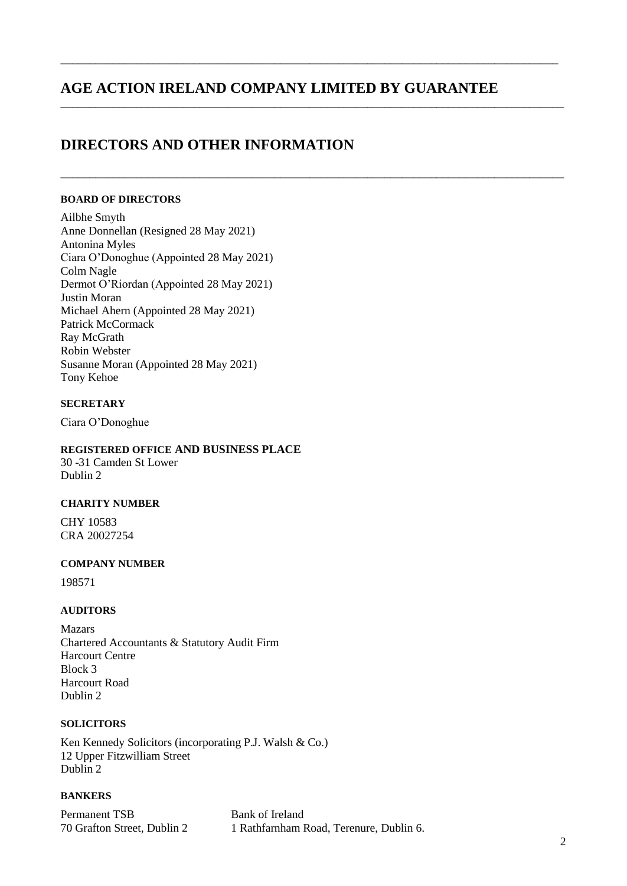\_\_\_\_\_\_\_\_\_\_\_\_\_\_\_\_\_\_\_\_\_\_\_\_\_\_\_\_\_\_\_\_\_\_\_\_\_\_\_\_\_\_\_\_\_\_\_\_\_\_\_\_\_\_\_\_\_\_\_\_\_\_\_\_\_\_\_\_\_\_\_\_\_\_\_\_\_\_\_\_\_\_\_\_\_\_

\_\_\_\_\_\_\_\_\_\_\_\_\_\_\_\_\_\_\_\_\_\_\_\_\_\_\_\_\_\_\_\_\_\_\_\_\_\_\_\_\_\_\_\_\_\_\_\_\_\_\_\_\_\_\_\_\_\_\_\_\_\_\_\_\_\_\_\_\_\_\_\_\_\_\_\_\_\_\_\_\_\_\_\_\_\_\_

\_\_\_\_\_\_\_\_\_\_\_\_\_\_\_\_\_\_\_\_\_\_\_\_\_\_\_\_\_\_\_\_\_\_\_\_\_\_\_\_\_\_\_\_\_\_\_\_\_\_\_\_\_\_\_\_\_\_\_\_\_\_\_\_\_\_\_\_\_\_\_\_\_\_\_\_\_\_\_\_\_\_\_\_\_\_\_

# **DIRECTORS AND OTHER INFORMATION**

#### **BOARD OF DIRECTORS**

Ailbhe Smyth Anne Donnellan (Resigned 28 May 2021) Antonina Myles Ciara O'Donoghue (Appointed 28 May 2021) Colm Nagle Dermot O'Riordan (Appointed 28 May 2021) Justin Moran Michael Ahern (Appointed 28 May 2021) Patrick McCormack Ray McGrath Robin Webster Susanne Moran (Appointed 28 May 2021) Tony Kehoe

### **SECRETARY**

Ciara O'Donoghue

### **REGISTERED OFFICE AND BUSINESS PLACE**

30 -31 Camden St Lower Dublin 2

### **CHARITY NUMBER**

CHY 10583 CRA 20027254

### **COMPANY NUMBER**

198571

### **AUDITORS**

Mazars Chartered Accountants & Statutory Audit Firm Harcourt Centre Block 3 Harcourt Road Dublin 2

### **SOLICITORS**

Ken Kennedy Solicitors (incorporating P.J. Walsh & Co.) 12 Upper Fitzwilliam Street Dublin 2

### **BANKERS**

Permanent TSB Bank of Ireland

70 Grafton Street, Dublin 2 1 Rathfarnham Road, Terenure, Dublin 6.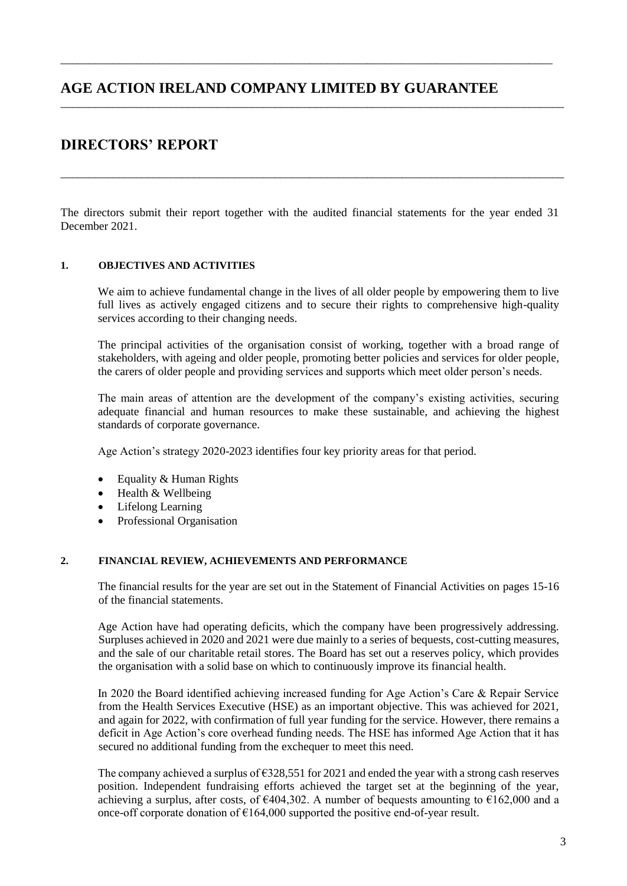\_\_\_\_\_\_\_\_\_\_\_\_\_\_\_\_\_\_\_\_\_\_\_\_\_\_\_\_\_\_\_\_\_\_\_\_\_\_\_\_\_\_\_\_\_\_\_\_\_\_\_\_\_\_\_\_\_\_\_\_\_\_\_\_\_\_\_\_\_\_\_\_\_\_\_\_\_\_\_\_\_\_\_\_\_

\_\_\_\_\_\_\_\_\_\_\_\_\_\_\_\_\_\_\_\_\_\_\_\_\_\_\_\_\_\_\_\_\_\_\_\_\_\_\_\_\_\_\_\_\_\_\_\_\_\_\_\_\_\_\_\_\_\_\_\_\_\_\_\_\_\_\_\_\_\_\_\_\_\_\_\_\_\_\_\_\_\_\_\_\_\_\_

### **DIRECTORS' REPORT**

The directors submit their report together with the audited financial statements for the year ended 31 December 2021.

\_\_\_\_\_\_\_\_\_\_\_\_\_\_\_\_\_\_\_\_\_\_\_\_\_\_\_\_\_\_\_\_\_\_\_\_\_\_\_\_\_\_\_\_\_\_\_\_\_\_\_\_\_\_\_\_\_\_\_\_\_\_\_\_\_\_\_\_\_\_\_\_\_\_\_\_\_\_\_\_\_\_\_\_\_\_\_

#### **1. OBJECTIVES AND ACTIVITIES**

We aim to achieve fundamental change in the lives of all older people by empowering them to live full lives as actively engaged citizens and to secure their rights to comprehensive high-quality services according to their changing needs.

The principal activities of the organisation consist of working, together with a broad range of stakeholders, with ageing and older people, promoting better policies and services for older people, the carers of older people and providing services and supports which meet older person's needs.

The main areas of attention are the development of the company's existing activities, securing adequate financial and human resources to make these sustainable, and achieving the highest standards of corporate governance.

Age Action's strategy 2020-2023 identifies four key priority areas for that period.

- Equality & Human Rights
- $\bullet$  Health & Wellbeing
- Lifelong Learning
- Professional Organisation

#### **2. FINANCIAL REVIEW, ACHIEVEMENTS AND PERFORMANCE**

The financial results for the year are set out in the Statement of Financial Activities on pages 15-16 of the financial statements.

Age Action have had operating deficits, which the company have been progressively addressing. Surpluses achieved in 2020 and 2021 were due mainly to a series of bequests, cost-cutting measures, and the sale of our charitable retail stores. The Board has set out a reserves policy, which provides the organisation with a solid base on which to continuously improve its financial health.

In 2020 the Board identified achieving increased funding for Age Action's Care & Repair Service from the Health Services Executive (HSE) as an important objective. This was achieved for 2021, and again for 2022, with confirmation of full year funding for the service. However, there remains a deficit in Age Action's core overhead funding needs. The HSE has informed Age Action that it has secured no additional funding from the exchequer to meet this need.

The company achieved a surplus of  $\epsilon$ 328,551 for 2021 and ended the year with a strong cash reserves position. Independent fundraising efforts achieved the target set at the beginning of the year, achieving a surplus, after costs, of  $\epsilon$ 404,302. A number of bequests amounting to  $\epsilon$ 162,000 and a once-off corporate donation of  $\epsilon$ 164,000 supported the positive end-of-year result.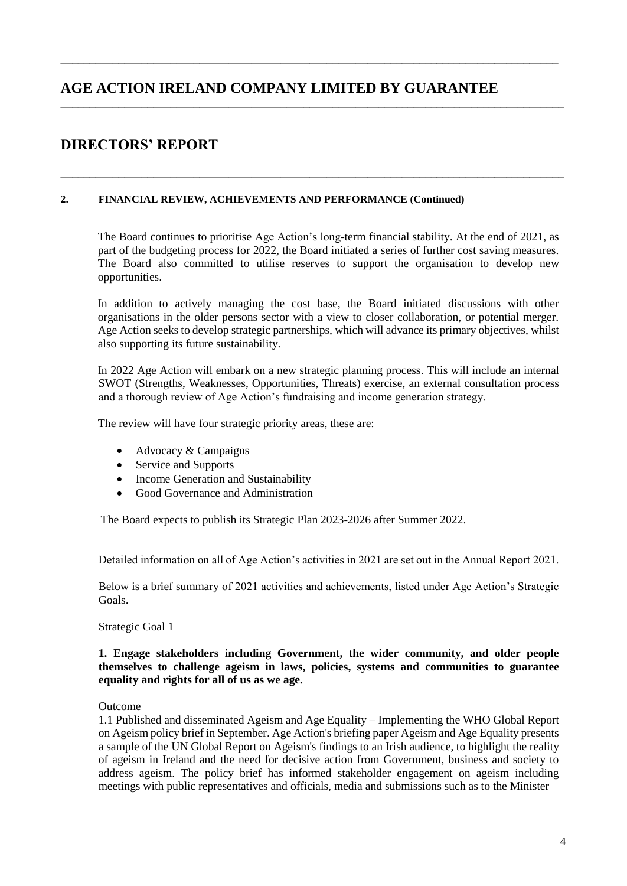\_\_\_\_\_\_\_\_\_\_\_\_\_\_\_\_\_\_\_\_\_\_\_\_\_\_\_\_\_\_\_\_\_\_\_\_\_\_\_\_\_\_\_\_\_\_\_\_\_\_\_\_\_\_\_\_\_\_\_\_\_\_\_\_\_\_\_\_\_\_\_\_\_\_\_\_\_\_\_\_\_\_\_\_\_\_

\_\_\_\_\_\_\_\_\_\_\_\_\_\_\_\_\_\_\_\_\_\_\_\_\_\_\_\_\_\_\_\_\_\_\_\_\_\_\_\_\_\_\_\_\_\_\_\_\_\_\_\_\_\_\_\_\_\_\_\_\_\_\_\_\_\_\_\_\_\_\_\_\_\_\_\_\_\_\_\_\_\_\_\_\_\_\_

\_\_\_\_\_\_\_\_\_\_\_\_\_\_\_\_\_\_\_\_\_\_\_\_\_\_\_\_\_\_\_\_\_\_\_\_\_\_\_\_\_\_\_\_\_\_\_\_\_\_\_\_\_\_\_\_\_\_\_\_\_\_\_\_\_\_\_\_\_\_\_\_\_\_\_\_\_\_\_\_\_\_\_\_\_\_\_

### **DIRECTORS' REPORT**

### **2. FINANCIAL REVIEW, ACHIEVEMENTS AND PERFORMANCE (Continued)**

The Board continues to prioritise Age Action's long-term financial stability. At the end of 2021, as part of the budgeting process for 2022, the Board initiated a series of further cost saving measures. The Board also committed to utilise reserves to support the organisation to develop new opportunities.

In addition to actively managing the cost base, the Board initiated discussions with other organisations in the older persons sector with a view to closer collaboration, or potential merger. Age Action seeks to develop strategic partnerships, which will advance its primary objectives, whilst also supporting its future sustainability.

In 2022 Age Action will embark on a new strategic planning process. This will include an internal SWOT (Strengths, Weaknesses, Opportunities, Threats) exercise, an external consultation process and a thorough review of Age Action's fundraising and income generation strategy.

The review will have four strategic priority areas, these are:

- Advocacy & Campaigns
- Service and Supports
- Income Generation and Sustainability
- Good Governance and Administration

The Board expects to publish its Strategic Plan 2023-2026 after Summer 2022.

Detailed information on all of Age Action's activities in 2021 are set out in the Annual Report 2021.

Below is a brief summary of 2021 activities and achievements, listed under Age Action's Strategic Goals.

Strategic Goal 1

### **1. Engage stakeholders including Government, the wider community, and older people themselves to challenge ageism in laws, policies, systems and communities to guarantee equality and rights for all of us as we age.**

### Outcome

1.1 Published and disseminated Ageism and Age Equality – Implementing the WHO Global Report on Ageism policy brief in September. Age Action's briefing paper Ageism and Age Equality presents a sample of the UN Global Report on Ageism's findings to an Irish audience, to highlight the reality of ageism in Ireland and the need for decisive action from Government, business and society to address ageism. The policy brief has informed stakeholder engagement on ageism including meetings with public representatives and officials, media and submissions such as to the Minister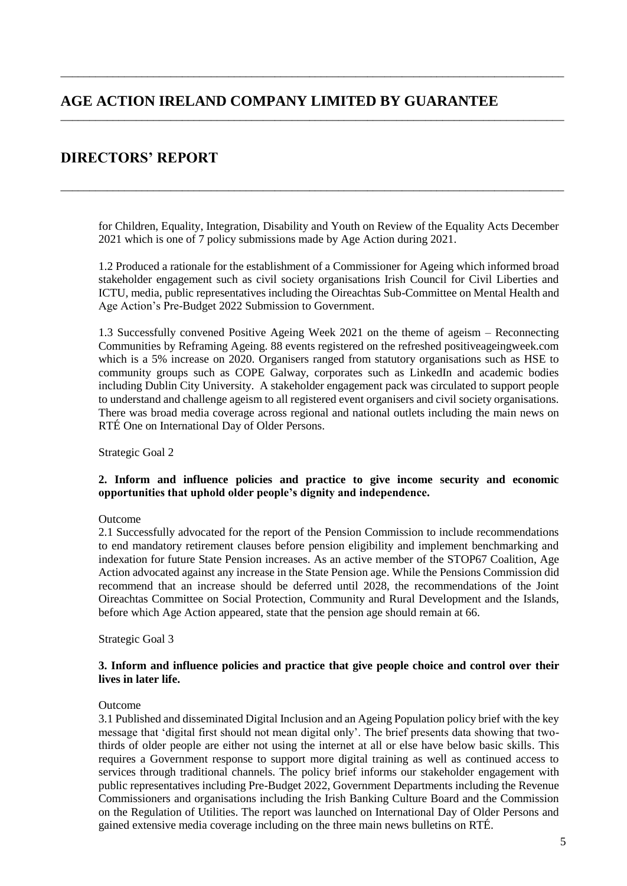\_\_\_\_\_\_\_\_\_\_\_\_\_\_\_\_\_\_\_\_\_\_\_\_\_\_\_\_\_\_\_\_\_\_\_\_\_\_\_\_\_\_\_\_\_\_\_\_\_\_\_\_\_\_\_\_\_\_\_\_\_\_\_\_\_\_\_\_\_\_\_\_\_\_\_\_\_\_\_\_\_\_\_\_\_\_\_

\_\_\_\_\_\_\_\_\_\_\_\_\_\_\_\_\_\_\_\_\_\_\_\_\_\_\_\_\_\_\_\_\_\_\_\_\_\_\_\_\_\_\_\_\_\_\_\_\_\_\_\_\_\_\_\_\_\_\_\_\_\_\_\_\_\_\_\_\_\_\_\_\_\_\_\_\_\_\_\_\_\_\_\_\_\_\_

\_\_\_\_\_\_\_\_\_\_\_\_\_\_\_\_\_\_\_\_\_\_\_\_\_\_\_\_\_\_\_\_\_\_\_\_\_\_\_\_\_\_\_\_\_\_\_\_\_\_\_\_\_\_\_\_\_\_\_\_\_\_\_\_\_\_\_\_\_\_\_\_\_\_\_\_\_\_\_\_\_\_\_\_\_\_\_

### **DIRECTORS' REPORT**

for Children, Equality, Integration, Disability and Youth on Review of the Equality Acts December 2021 which is one of 7 policy submissions made by Age Action during 2021.

1.2 Produced a rationale for the establishment of a Commissioner for Ageing which informed broad stakeholder engagement such as civil society organisations Irish Council for Civil Liberties and ICTU, media, public representatives including the Oireachtas Sub-Committee on Mental Health and Age Action's Pre-Budget 2022 Submission to Government.

1.3 Successfully convened Positive Ageing Week 2021 on the theme of ageism – Reconnecting Communities by Reframing Ageing. 88 events registered on the refreshed positiveageingweek.com which is a 5% increase on 2020. Organisers ranged from statutory organisations such as HSE to community groups such as COPE Galway, corporates such as LinkedIn and academic bodies including Dublin City University. A stakeholder engagement pack was circulated to support people to understand and challenge ageism to all registered event organisers and civil society organisations. There was broad media coverage across regional and national outlets including the main news on RTÉ One on International Day of Older Persons.

Strategic Goal 2

### **2. Inform and influence policies and practice to give income security and economic opportunities that uphold older people's dignity and independence.**

Outcome

2.1 Successfully advocated for the report of the Pension Commission to include recommendations to end mandatory retirement clauses before pension eligibility and implement benchmarking and indexation for future State Pension increases. As an active member of the STOP67 Coalition, Age Action advocated against any increase in the State Pension age. While the Pensions Commission did recommend that an increase should be deferred until 2028, the recommendations of the Joint Oireachtas Committee on Social Protection, Community and Rural Development and the Islands, before which Age Action appeared, state that the pension age should remain at 66.

Strategic Goal 3

### **3. Inform and influence policies and practice that give people choice and control over their lives in later life.**

### Outcome

3.1 Published and disseminated Digital Inclusion and an Ageing Population policy brief with the key message that 'digital first should not mean digital only'. The brief presents data showing that twothirds of older people are either not using the internet at all or else have below basic skills. This requires a Government response to support more digital training as well as continued access to services through traditional channels. The policy brief informs our stakeholder engagement with public representatives including Pre-Budget 2022, Government Departments including the Revenue Commissioners and organisations including the Irish Banking Culture Board and the Commission on the Regulation of Utilities. The report was launched on International Day of Older Persons and gained extensive media coverage including on the three main news bulletins on RTÉ.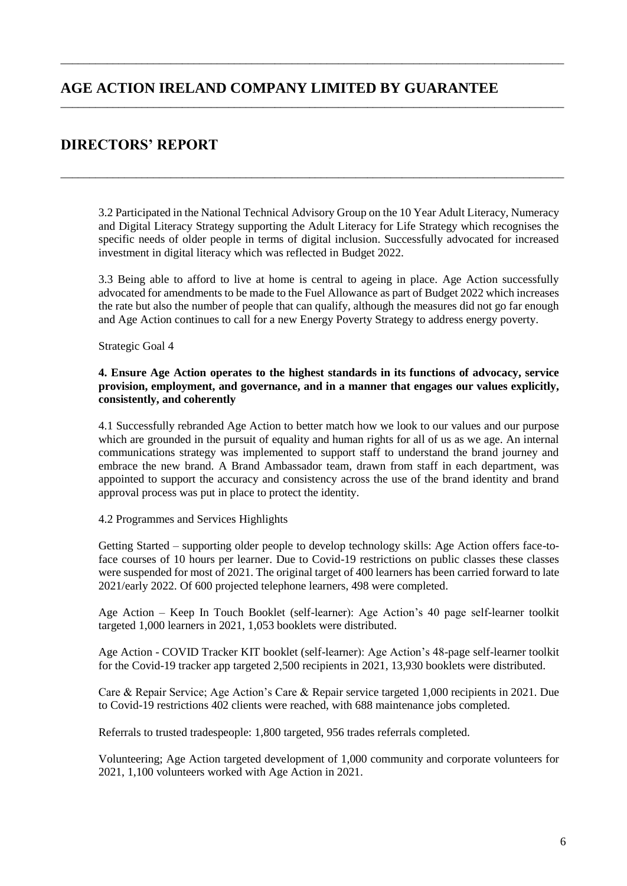\_\_\_\_\_\_\_\_\_\_\_\_\_\_\_\_\_\_\_\_\_\_\_\_\_\_\_\_\_\_\_\_\_\_\_\_\_\_\_\_\_\_\_\_\_\_\_\_\_\_\_\_\_\_\_\_\_\_\_\_\_\_\_\_\_\_\_\_\_\_\_\_\_\_\_\_\_\_\_\_\_\_\_\_\_\_\_

\_\_\_\_\_\_\_\_\_\_\_\_\_\_\_\_\_\_\_\_\_\_\_\_\_\_\_\_\_\_\_\_\_\_\_\_\_\_\_\_\_\_\_\_\_\_\_\_\_\_\_\_\_\_\_\_\_\_\_\_\_\_\_\_\_\_\_\_\_\_\_\_\_\_\_\_\_\_\_\_\_\_\_\_\_\_\_

\_\_\_\_\_\_\_\_\_\_\_\_\_\_\_\_\_\_\_\_\_\_\_\_\_\_\_\_\_\_\_\_\_\_\_\_\_\_\_\_\_\_\_\_\_\_\_\_\_\_\_\_\_\_\_\_\_\_\_\_\_\_\_\_\_\_\_\_\_\_\_\_\_\_\_\_\_\_\_\_\_\_\_\_\_\_\_

### **DIRECTORS' REPORT**

3.2 Participated in the National Technical Advisory Group on the 10 Year Adult Literacy, Numeracy and Digital Literacy Strategy supporting the Adult Literacy for Life Strategy which recognises the specific needs of older people in terms of digital inclusion. Successfully advocated for increased investment in digital literacy which was reflected in Budget 2022.

3.3 Being able to afford to live at home is central to ageing in place. Age Action successfully advocated for amendments to be made to the Fuel Allowance as part of Budget 2022 which increases the rate but also the number of people that can qualify, although the measures did not go far enough and Age Action continues to call for a new Energy Poverty Strategy to address energy poverty.

Strategic Goal 4

### **4. Ensure Age Action operates to the highest standards in its functions of advocacy, service provision, employment, and governance, and in a manner that engages our values explicitly, consistently, and coherently**

4.1 Successfully rebranded Age Action to better match how we look to our values and our purpose which are grounded in the pursuit of equality and human rights for all of us as we age. An internal communications strategy was implemented to support staff to understand the brand journey and embrace the new brand. A Brand Ambassador team, drawn from staff in each department, was appointed to support the accuracy and consistency across the use of the brand identity and brand approval process was put in place to protect the identity.

### 4.2 Programmes and Services Highlights

Getting Started – supporting older people to develop technology skills: Age Action offers face-toface courses of 10 hours per learner. Due to Covid-19 restrictions on public classes these classes were suspended for most of 2021. The original target of 400 learners has been carried forward to late 2021/early 2022. Of 600 projected telephone learners, 498 were completed.

Age Action – Keep In Touch Booklet (self-learner): Age Action's 40 page self-learner toolkit targeted 1,000 learners in 2021, 1,053 booklets were distributed.

Age Action - COVID Tracker KIT booklet (self-learner): Age Action's 48-page self-learner toolkit for the Covid-19 tracker app targeted 2,500 recipients in 2021, 13,930 booklets were distributed.

Care & Repair Service; Age Action's Care & Repair service targeted 1,000 recipients in 2021. Due to Covid-19 restrictions 402 clients were reached, with 688 maintenance jobs completed.

Referrals to trusted tradespeople: 1,800 targeted, 956 trades referrals completed.

Volunteering; Age Action targeted development of 1,000 community and corporate volunteers for 2021, 1,100 volunteers worked with Age Action in 2021.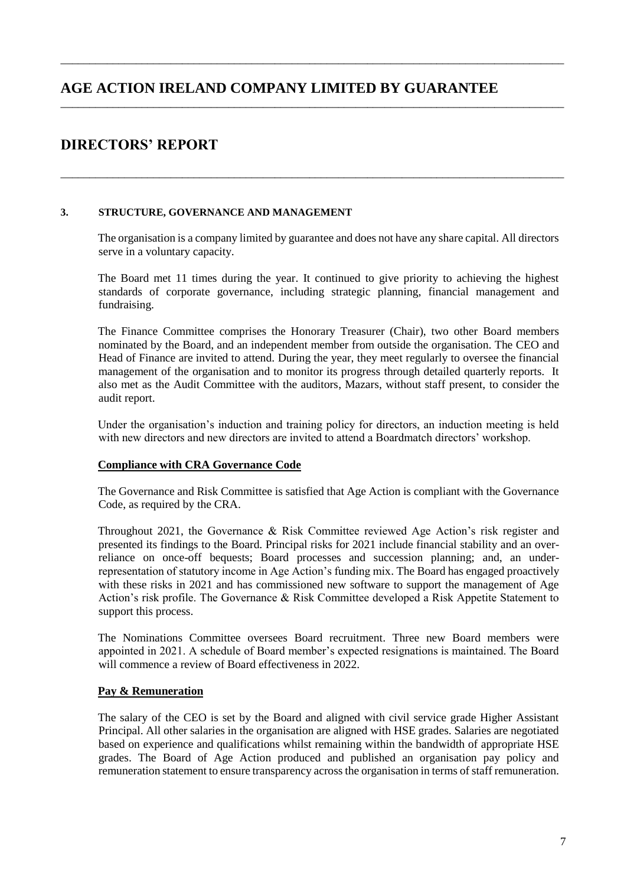\_\_\_\_\_\_\_\_\_\_\_\_\_\_\_\_\_\_\_\_\_\_\_\_\_\_\_\_\_\_\_\_\_\_\_\_\_\_\_\_\_\_\_\_\_\_\_\_\_\_\_\_\_\_\_\_\_\_\_\_\_\_\_\_\_\_\_\_\_\_\_\_\_\_\_\_\_\_\_\_\_\_\_\_\_\_\_

\_\_\_\_\_\_\_\_\_\_\_\_\_\_\_\_\_\_\_\_\_\_\_\_\_\_\_\_\_\_\_\_\_\_\_\_\_\_\_\_\_\_\_\_\_\_\_\_\_\_\_\_\_\_\_\_\_\_\_\_\_\_\_\_\_\_\_\_\_\_\_\_\_\_\_\_\_\_\_\_\_\_\_\_\_\_\_

\_\_\_\_\_\_\_\_\_\_\_\_\_\_\_\_\_\_\_\_\_\_\_\_\_\_\_\_\_\_\_\_\_\_\_\_\_\_\_\_\_\_\_\_\_\_\_\_\_\_\_\_\_\_\_\_\_\_\_\_\_\_\_\_\_\_\_\_\_\_\_\_\_\_\_\_\_\_\_\_\_\_\_\_\_\_\_

### **DIRECTORS' REPORT**

### **3. STRUCTURE, GOVERNANCE AND MANAGEMENT**

The organisation is a company limited by guarantee and does not have any share capital. All directors serve in a voluntary capacity.

The Board met 11 times during the year. It continued to give priority to achieving the highest standards of corporate governance, including strategic planning, financial management and fundraising.

The Finance Committee comprises the Honorary Treasurer (Chair), two other Board members nominated by the Board, and an independent member from outside the organisation. The CEO and Head of Finance are invited to attend. During the year, they meet regularly to oversee the financial management of the organisation and to monitor its progress through detailed quarterly reports. It also met as the Audit Committee with the auditors, Mazars, without staff present, to consider the audit report.

Under the organisation's induction and training policy for directors, an induction meeting is held with new directors and new directors are invited to attend a Boardmatch directors' workshop.

### **Compliance with CRA Governance Code**

The Governance and Risk Committee is satisfied that Age Action is compliant with the Governance Code, as required by the CRA.

Throughout 2021, the Governance & Risk Committee reviewed Age Action's risk register and presented its findings to the Board. Principal risks for 2021 include financial stability and an overreliance on once-off bequests; Board processes and succession planning; and, an underrepresentation of statutory income in Age Action's funding mix. The Board has engaged proactively with these risks in 2021 and has commissioned new software to support the management of Age Action's risk profile. The Governance & Risk Committee developed a Risk Appetite Statement to support this process.

The Nominations Committee oversees Board recruitment. Three new Board members were appointed in 2021. A schedule of Board member's expected resignations is maintained. The Board will commence a review of Board effectiveness in 2022.

### **Pay & Remuneration**

The salary of the CEO is set by the Board and aligned with civil service grade Higher Assistant Principal. All other salaries in the organisation are aligned with HSE grades. Salaries are negotiated based on experience and qualifications whilst remaining within the bandwidth of appropriate HSE grades. The Board of Age Action produced and published an organisation pay policy and remuneration statement to ensure transparency across the organisation in terms of staff remuneration.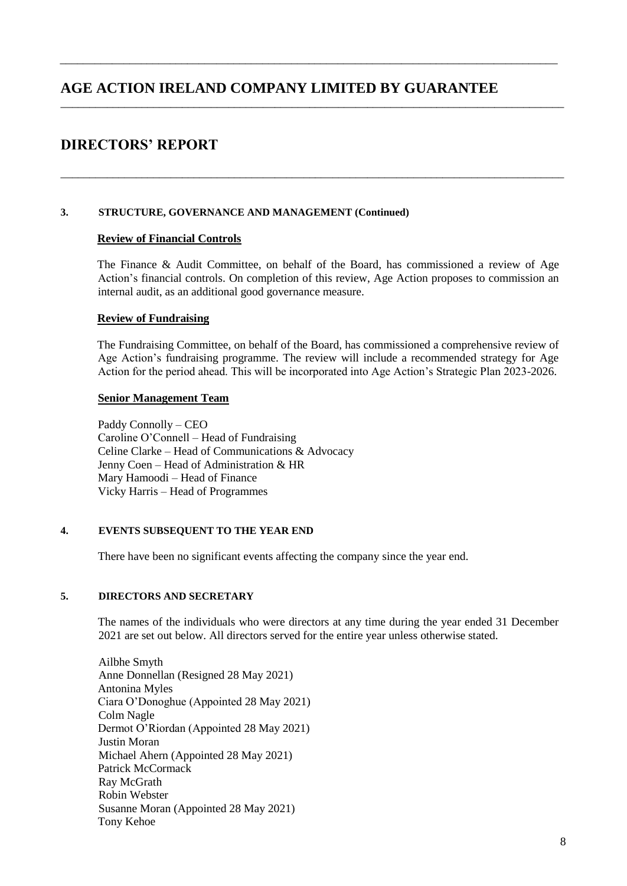\_\_\_\_\_\_\_\_\_\_\_\_\_\_\_\_\_\_\_\_\_\_\_\_\_\_\_\_\_\_\_\_\_\_\_\_\_\_\_\_\_\_\_\_\_\_\_\_\_\_\_\_\_\_\_\_\_\_\_\_\_\_\_\_\_\_\_\_\_\_\_\_\_\_\_\_\_\_\_\_\_\_\_\_\_\_

\_\_\_\_\_\_\_\_\_\_\_\_\_\_\_\_\_\_\_\_\_\_\_\_\_\_\_\_\_\_\_\_\_\_\_\_\_\_\_\_\_\_\_\_\_\_\_\_\_\_\_\_\_\_\_\_\_\_\_\_\_\_\_\_\_\_\_\_\_\_\_\_\_\_\_\_\_\_\_\_\_\_\_\_\_\_\_

\_\_\_\_\_\_\_\_\_\_\_\_\_\_\_\_\_\_\_\_\_\_\_\_\_\_\_\_\_\_\_\_\_\_\_\_\_\_\_\_\_\_\_\_\_\_\_\_\_\_\_\_\_\_\_\_\_\_\_\_\_\_\_\_\_\_\_\_\_\_\_\_\_\_\_\_\_\_\_\_\_\_\_\_\_\_\_

### **DIRECTORS' REPORT**

### **3. STRUCTURE, GOVERNANCE AND MANAGEMENT (Continued)**

### **Review of Financial Controls**

The Finance & Audit Committee, on behalf of the Board, has commissioned a review of Age Action's financial controls. On completion of this review, Age Action proposes to commission an internal audit, as an additional good governance measure.

### **Review of Fundraising**

The Fundraising Committee, on behalf of the Board, has commissioned a comprehensive review of Age Action's fundraising programme. The review will include a recommended strategy for Age Action for the period ahead. This will be incorporated into Age Action's Strategic Plan 2023-2026.

### **Senior Management Team**

Paddy Connolly – CEO Caroline O'Connell – Head of Fundraising Celine Clarke – Head of Communications & Advocacy Jenny Coen – Head of Administration & HR Mary Hamoodi – Head of Finance Vicky Harris – Head of Programmes

### **4. EVENTS SUBSEQUENT TO THE YEAR END**

There have been no significant events affecting the company since the year end.

### **5. DIRECTORS AND SECRETARY**

The names of the individuals who were directors at any time during the year ended 31 December 2021 are set out below. All directors served for the entire year unless otherwise stated.

Ailbhe Smyth Anne Donnellan (Resigned 28 May 2021) Antonina Myles Ciara O'Donoghue (Appointed 28 May 2021) Colm Nagle Dermot O'Riordan (Appointed 28 May 2021) Justin Moran Michael Ahern (Appointed 28 May 2021) Patrick McCormack Ray McGrath Robin Webster Susanne Moran (Appointed 28 May 2021) Tony Kehoe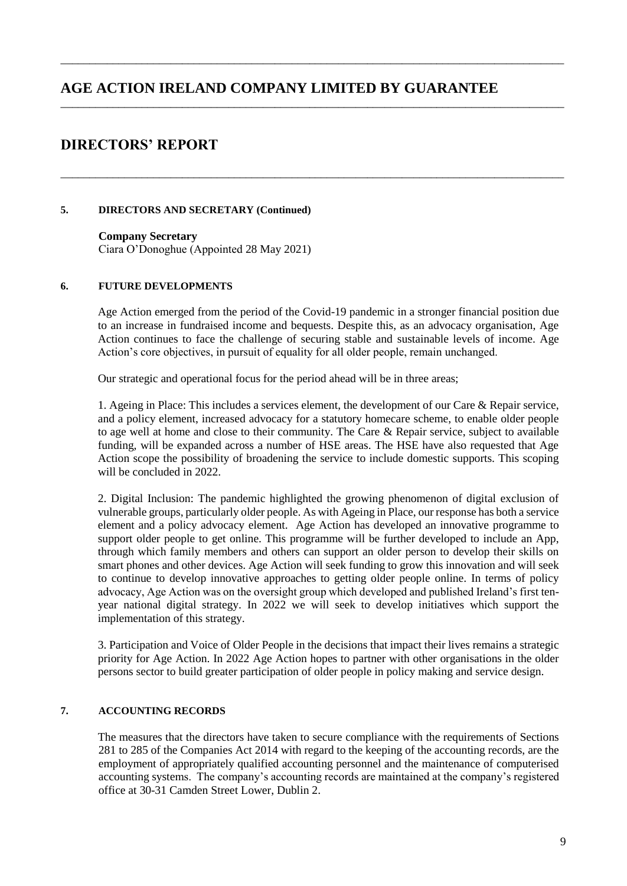\_\_\_\_\_\_\_\_\_\_\_\_\_\_\_\_\_\_\_\_\_\_\_\_\_\_\_\_\_\_\_\_\_\_\_\_\_\_\_\_\_\_\_\_\_\_\_\_\_\_\_\_\_\_\_\_\_\_\_\_\_\_\_\_\_\_\_\_\_\_\_\_\_\_\_\_\_\_\_\_\_\_\_\_\_\_\_

\_\_\_\_\_\_\_\_\_\_\_\_\_\_\_\_\_\_\_\_\_\_\_\_\_\_\_\_\_\_\_\_\_\_\_\_\_\_\_\_\_\_\_\_\_\_\_\_\_\_\_\_\_\_\_\_\_\_\_\_\_\_\_\_\_\_\_\_\_\_\_\_\_\_\_\_\_\_\_\_\_\_\_\_\_\_\_

\_\_\_\_\_\_\_\_\_\_\_\_\_\_\_\_\_\_\_\_\_\_\_\_\_\_\_\_\_\_\_\_\_\_\_\_\_\_\_\_\_\_\_\_\_\_\_\_\_\_\_\_\_\_\_\_\_\_\_\_\_\_\_\_\_\_\_\_\_\_\_\_\_\_\_\_\_\_\_\_\_\_\_\_\_\_\_

### **DIRECTORS' REPORT**

### **5. DIRECTORS AND SECRETARY (Continued)**

**Company Secretary**  Ciara O'Donoghue (Appointed 28 May 2021)

### **6. FUTURE DEVELOPMENTS**

Age Action emerged from the period of the Covid-19 pandemic in a stronger financial position due to an increase in fundraised income and bequests. Despite this, as an advocacy organisation, Age Action continues to face the challenge of securing stable and sustainable levels of income. Age Action's core objectives, in pursuit of equality for all older people, remain unchanged.

Our strategic and operational focus for the period ahead will be in three areas;

1. Ageing in Place: This includes a services element, the development of our Care & Repair service, and a policy element, increased advocacy for a statutory homecare scheme, to enable older people to age well at home and close to their community. The Care & Repair service, subject to available funding, will be expanded across a number of HSE areas. The HSE have also requested that Age Action scope the possibility of broadening the service to include domestic supports. This scoping will be concluded in 2022.

2. Digital Inclusion: The pandemic highlighted the growing phenomenon of digital exclusion of vulnerable groups, particularly older people. As with Ageing in Place, our response has both a service element and a policy advocacy element. Age Action has developed an innovative programme to support older people to get online. This programme will be further developed to include an App, through which family members and others can support an older person to develop their skills on smart phones and other devices. Age Action will seek funding to grow this innovation and will seek to continue to develop innovative approaches to getting older people online. In terms of policy advocacy, Age Action was on the oversight group which developed and published Ireland's first tenyear national digital strategy. In 2022 we will seek to develop initiatives which support the implementation of this strategy.

3. Participation and Voice of Older People in the decisions that impact their lives remains a strategic priority for Age Action. In 2022 Age Action hopes to partner with other organisations in the older persons sector to build greater participation of older people in policy making and service design.

### **7. ACCOUNTING RECORDS**

The measures that the directors have taken to secure compliance with the requirements of Sections 281 to 285 of the Companies Act 2014 with regard to the keeping of the accounting records, are the employment of appropriately qualified accounting personnel and the maintenance of computerised accounting systems. The company's accounting records are maintained at the company's registered office at 30-31 Camden Street Lower, Dublin 2.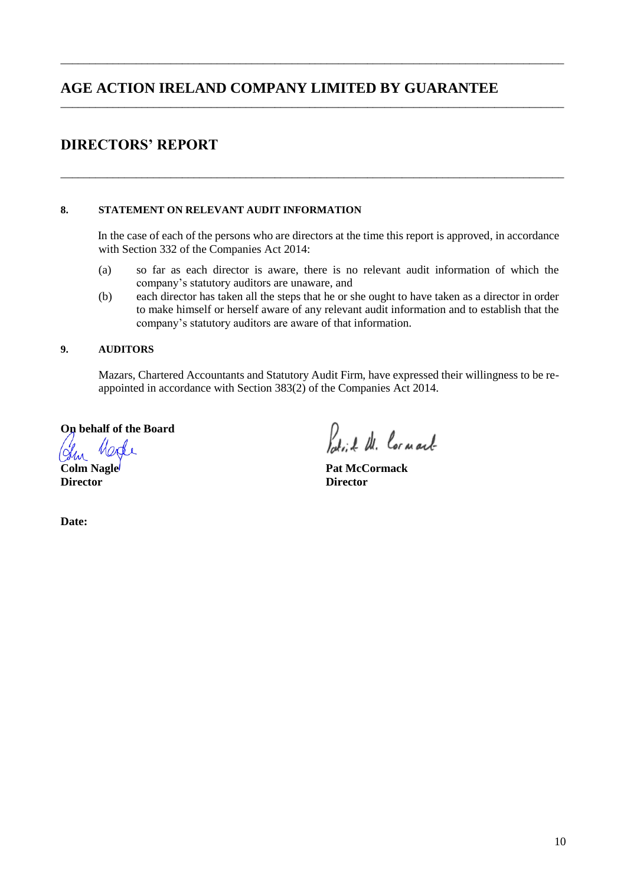\_\_\_\_\_\_\_\_\_\_\_\_\_\_\_\_\_\_\_\_\_\_\_\_\_\_\_\_\_\_\_\_\_\_\_\_\_\_\_\_\_\_\_\_\_\_\_\_\_\_\_\_\_\_\_\_\_\_\_\_\_\_\_\_\_\_\_\_\_\_\_\_\_\_\_\_\_\_\_\_\_\_\_\_\_\_\_

\_\_\_\_\_\_\_\_\_\_\_\_\_\_\_\_\_\_\_\_\_\_\_\_\_\_\_\_\_\_\_\_\_\_\_\_\_\_\_\_\_\_\_\_\_\_\_\_\_\_\_\_\_\_\_\_\_\_\_\_\_\_\_\_\_\_\_\_\_\_\_\_\_\_\_\_\_\_\_\_\_\_\_\_\_\_\_

\_\_\_\_\_\_\_\_\_\_\_\_\_\_\_\_\_\_\_\_\_\_\_\_\_\_\_\_\_\_\_\_\_\_\_\_\_\_\_\_\_\_\_\_\_\_\_\_\_\_\_\_\_\_\_\_\_\_\_\_\_\_\_\_\_\_\_\_\_\_\_\_\_\_\_\_\_\_\_\_\_\_\_\_\_\_\_

### **DIRECTORS' REPORT**

### **8. STATEMENT ON RELEVANT AUDIT INFORMATION**

In the case of each of the persons who are directors at the time this report is approved, in accordance with Section 332 of the Companies Act 2014:

- (a) so far as each director is aware, there is no relevant audit information of which the company's statutory auditors are unaware, and
- (b) each director has taken all the steps that he or she ought to have taken as a director in order to make himself or herself aware of any relevant audit information and to establish that the company's statutory auditors are aware of that information.

### **9. AUDITORS**

Mazars, Chartered Accountants and Statutory Audit Firm, have expressed their willingness to be reappointed in accordance with Section 383(2) of the Companies Act 2014.

**On behalf of the Board**

**Director Director**

Potit Ul. Cornart

**Colm Nagle Pat McCormack** 

**Date:**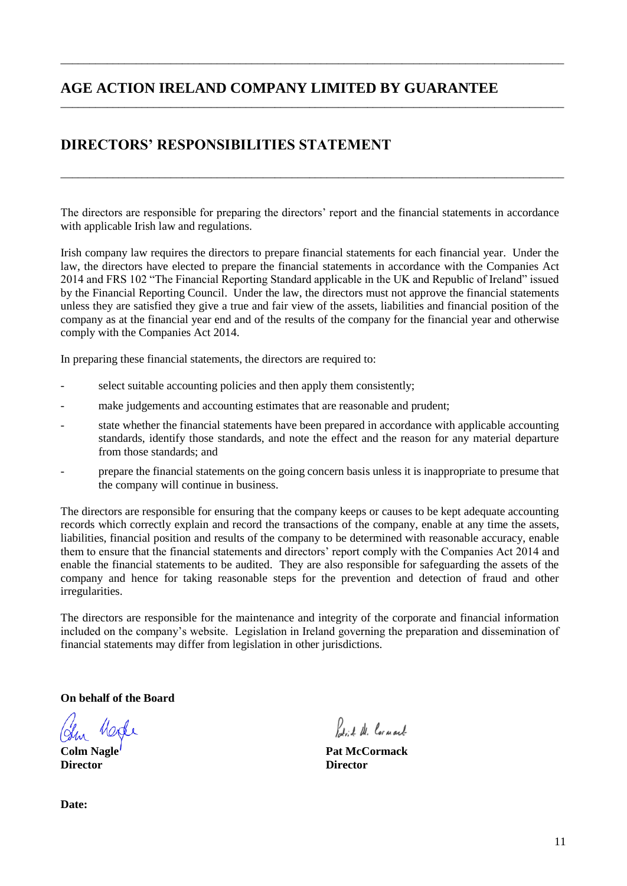# **DIRECTORS' RESPONSIBILITIES STATEMENT**

The directors are responsible for preparing the directors' report and the financial statements in accordance with applicable Irish law and regulations.

\_\_\_\_\_\_\_\_\_\_\_\_\_\_\_\_\_\_\_\_\_\_\_\_\_\_\_\_\_\_\_\_\_\_\_\_\_\_\_\_\_\_\_\_\_\_\_\_\_\_\_\_\_\_\_\_\_\_\_\_\_\_\_\_\_\_\_\_\_\_\_\_\_\_\_\_\_\_\_\_\_\_\_\_\_\_\_

\_\_\_\_\_\_\_\_\_\_\_\_\_\_\_\_\_\_\_\_\_\_\_\_\_\_\_\_\_\_\_\_\_\_\_\_\_\_\_\_\_\_\_\_\_\_\_\_\_\_\_\_\_\_\_\_\_\_\_\_\_\_\_\_\_\_\_\_\_\_\_\_\_\_\_\_\_\_\_\_\_\_\_\_\_\_\_

\_\_\_\_\_\_\_\_\_\_\_\_\_\_\_\_\_\_\_\_\_\_\_\_\_\_\_\_\_\_\_\_\_\_\_\_\_\_\_\_\_\_\_\_\_\_\_\_\_\_\_\_\_\_\_\_\_\_\_\_\_\_\_\_\_\_\_\_\_\_\_\_\_\_\_\_\_\_\_\_\_\_\_\_\_\_\_

Irish company law requires the directors to prepare financial statements for each financial year. Under the law, the directors have elected to prepare the financial statements in accordance with the Companies Act 2014 and FRS 102 "The Financial Reporting Standard applicable in the UK and Republic of Ireland" issued by the Financial Reporting Council. Under the law, the directors must not approve the financial statements unless they are satisfied they give a true and fair view of the assets, liabilities and financial position of the company as at the financial year end and of the results of the company for the financial year and otherwise comply with the Companies Act 2014.

In preparing these financial statements, the directors are required to:

- select suitable accounting policies and then apply them consistently;
- make judgements and accounting estimates that are reasonable and prudent;
- state whether the financial statements have been prepared in accordance with applicable accounting standards, identify those standards, and note the effect and the reason for any material departure from those standards; and
- prepare the financial statements on the going concern basis unless it is inappropriate to presume that the company will continue in business.

The directors are responsible for ensuring that the company keeps or causes to be kept adequate accounting records which correctly explain and record the transactions of the company, enable at any time the assets, liabilities, financial position and results of the company to be determined with reasonable accuracy, enable them to ensure that the financial statements and directors' report comply with the Companies Act 2014 and enable the financial statements to be audited. They are also responsible for safeguarding the assets of the company and hence for taking reasonable steps for the prevention and detection of fraud and other irregularities.

The directors are responsible for the maintenance and integrity of the corporate and financial information included on the company's website. Legislation in Ireland governing the preparation and dissemination of financial statements may differ from legislation in other jurisdictions.

**On behalf of the Board**

**Director Director**

Patrick Ul. Cornard

**Colm Nagle Pat McCormack** 

**Date:**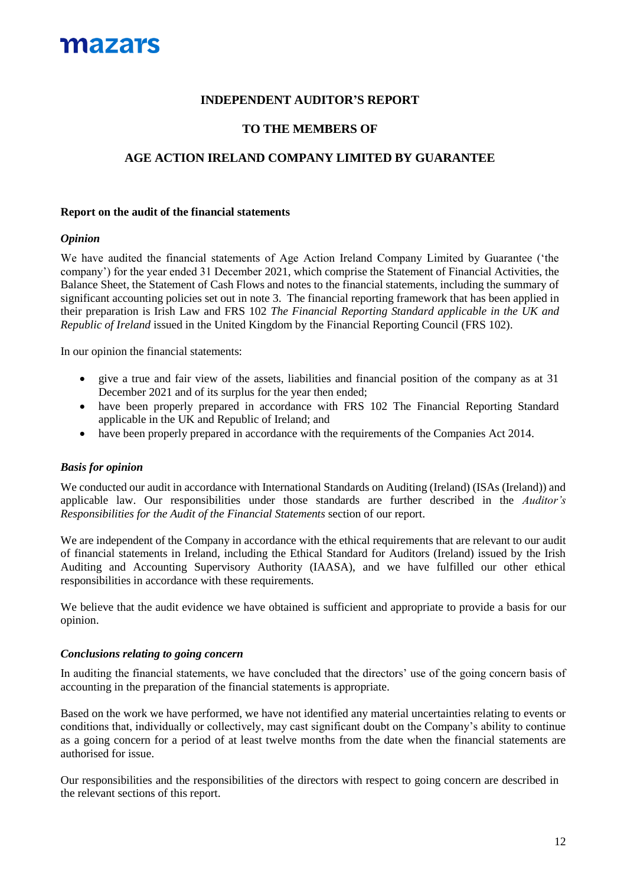### **INDEPENDENT AUDITOR'S REPORT**

### **TO THE MEMBERS OF**

### **AGE ACTION IRELAND COMPANY LIMITED BY GUARANTEE**

#### **Report on the audit of the financial statements**

#### *Opinion*

We have audited the financial statements of Age Action Ireland Company Limited by Guarantee ('the company') for the year ended 31 December 2021, which comprise the Statement of Financial Activities, the Balance Sheet, the Statement of Cash Flows and notes to the financial statements, including the summary of significant accounting policies set out in note 3. The financial reporting framework that has been applied in their preparation is Irish Law and FRS 102 *The Financial Reporting Standard applicable in the UK and Republic of Ireland* issued in the United Kingdom by the Financial Reporting Council (FRS 102).

In our opinion the financial statements:

- give a true and fair view of the assets, liabilities and financial position of the company as at 31 December 2021 and of its surplus for the year then ended;
- have been properly prepared in accordance with FRS 102 The Financial Reporting Standard applicable in the UK and Republic of Ireland; and
- have been properly prepared in accordance with the requirements of the Companies Act 2014.

### *Basis for opinion*

We conducted our audit in accordance with International Standards on Auditing (Ireland) (ISAs (Ireland)) and applicable law. Our responsibilities under those standards are further described in the *Auditor's Responsibilities for the Audit of the Financial Statements* section of our report.

We are independent of the Company in accordance with the ethical requirements that are relevant to our audit of financial statements in Ireland, including the Ethical Standard for Auditors (Ireland) issued by the Irish Auditing and Accounting Supervisory Authority (IAASA), and we have fulfilled our other ethical responsibilities in accordance with these requirements.

We believe that the audit evidence we have obtained is sufficient and appropriate to provide a basis for our opinion.

#### *Conclusions relating to going concern*

In auditing the financial statements, we have concluded that the directors' use of the going concern basis of accounting in the preparation of the financial statements is appropriate.

Based on the work we have performed, we have not identified any material uncertainties relating to events or conditions that, individually or collectively, may cast significant doubt on the Company's ability to continue as a going concern for a period of at least twelve months from the date when the financial statements are authorised for issue.

Our responsibilities and the responsibilities of the directors with respect to going concern are described in the relevant sections of this report.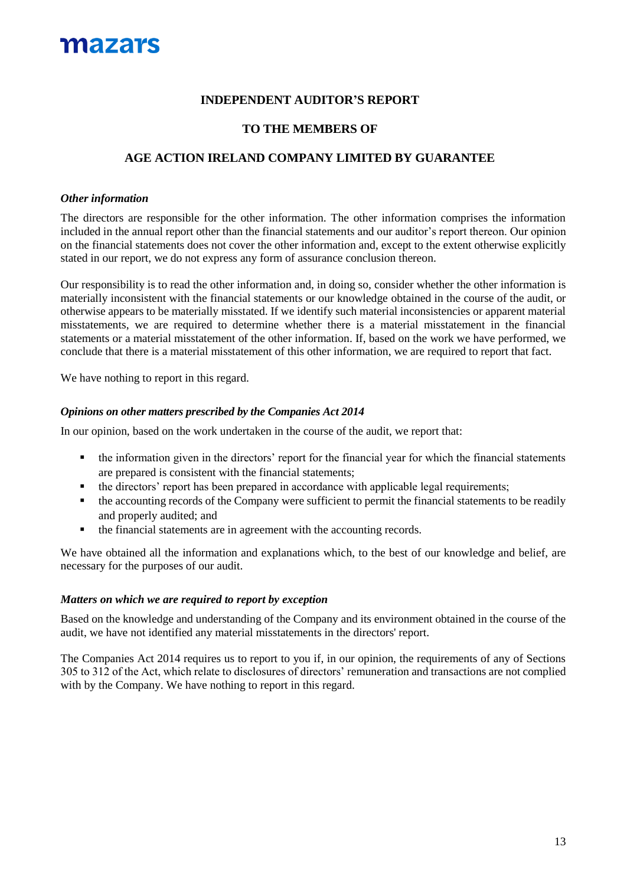### **INDEPENDENT AUDITOR'S REPORT**

### **TO THE MEMBERS OF**

### **AGE ACTION IRELAND COMPANY LIMITED BY GUARANTEE**

#### *Other information*

The directors are responsible for the other information. The other information comprises the information included in the annual report other than the financial statements and our auditor's report thereon. Our opinion on the financial statements does not cover the other information and, except to the extent otherwise explicitly stated in our report, we do not express any form of assurance conclusion thereon.

Our responsibility is to read the other information and, in doing so, consider whether the other information is materially inconsistent with the financial statements or our knowledge obtained in the course of the audit, or otherwise appears to be materially misstated. If we identify such material inconsistencies or apparent material misstatements, we are required to determine whether there is a material misstatement in the financial statements or a material misstatement of the other information. If, based on the work we have performed, we conclude that there is a material misstatement of this other information, we are required to report that fact.

We have nothing to report in this regard.

#### *Opinions on other matters prescribed by the Companies Act 2014*

In our opinion, based on the work undertaken in the course of the audit, we report that:

- the information given in the directors' report for the financial year for which the financial statements are prepared is consistent with the financial statements;
- the directors' report has been prepared in accordance with applicable legal requirements;
- the accounting records of the Company were sufficient to permit the financial statements to be readily and properly audited; and
- the financial statements are in agreement with the accounting records.

We have obtained all the information and explanations which, to the best of our knowledge and belief, are necessary for the purposes of our audit.

#### *Matters on which we are required to report by exception*

Based on the knowledge and understanding of the Company and its environment obtained in the course of the audit, we have not identified any material misstatements in the directors' report.

The Companies Act 2014 requires us to report to you if, in our opinion, the requirements of any of Sections 305 to 312 of the Act, which relate to disclosures of directors' remuneration and transactions are not complied with by the Company. We have nothing to report in this regard.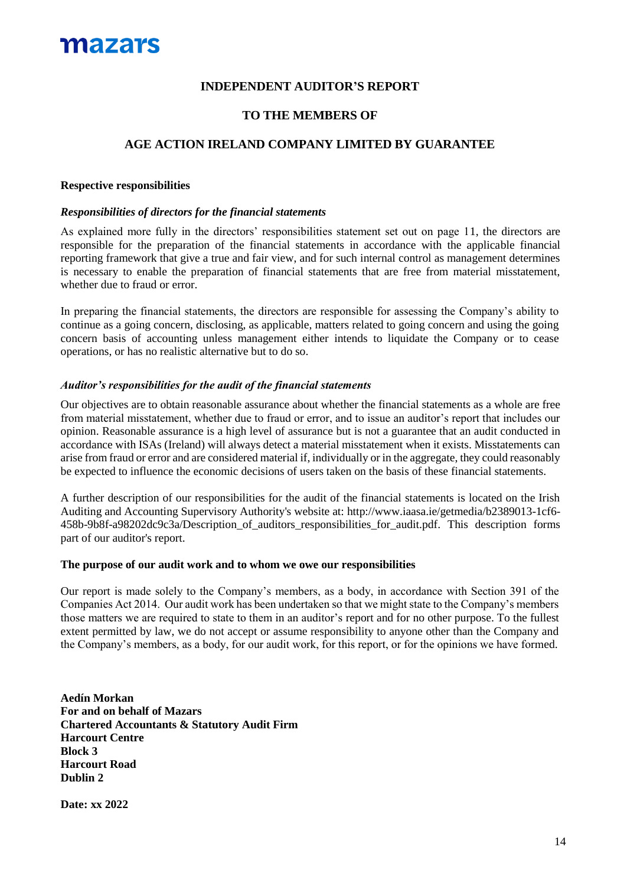### **INDEPENDENT AUDITOR'S REPORT**

### **TO THE MEMBERS OF**

### **AGE ACTION IRELAND COMPANY LIMITED BY GUARANTEE**

#### **Respective responsibilities**

#### *Responsibilities of directors for the financial statements*

As explained more fully in the directors' responsibilities statement set out on page 11, the directors are responsible for the preparation of the financial statements in accordance with the applicable financial reporting framework that give a true and fair view, and for such internal control as management determines is necessary to enable the preparation of financial statements that are free from material misstatement, whether due to fraud or error.

In preparing the financial statements, the directors are responsible for assessing the Company's ability to continue as a going concern, disclosing, as applicable, matters related to going concern and using the going concern basis of accounting unless management either intends to liquidate the Company or to cease operations, or has no realistic alternative but to do so.

#### *Auditor's responsibilities for the audit of the financial statements*

Our objectives are to obtain reasonable assurance about whether the financial statements as a whole are free from material misstatement, whether due to fraud or error, and to issue an auditor's report that includes our opinion. Reasonable assurance is a high level of assurance but is not a guarantee that an audit conducted in accordance with ISAs (Ireland) will always detect a material misstatement when it exists. Misstatements can arise from fraud or error and are considered material if, individually or in the aggregate, they could reasonably be expected to influence the economic decisions of users taken on the basis of these financial statements.

A further description of our responsibilities for the audit of the financial statements is located on the Irish Auditing and Accounting Supervisory Authority's website at: http://www.iaasa.ie/getmedia/b2389013-1cf6- 458b-9b8f-a98202dc9c3a/Description\_of\_auditors\_responsibilities\_for\_audit.pdf. This description forms part of our auditor's report.

#### **The purpose of our audit work and to whom we owe our responsibilities**

Our report is made solely to the Company's members, as a body, in accordance with Section 391 of the Companies Act 2014. Our audit work has been undertaken so that we might state to the Company's members those matters we are required to state to them in an auditor's report and for no other purpose. To the fullest extent permitted by law, we do not accept or assume responsibility to anyone other than the Company and the Company's members, as a body, for our audit work, for this report, or for the opinions we have formed.

**Aedín Morkan For and on behalf of Mazars Chartered Accountants & Statutory Audit Firm Harcourt Centre Block 3 Harcourt Road Dublin 2**

**Date: xx 2022**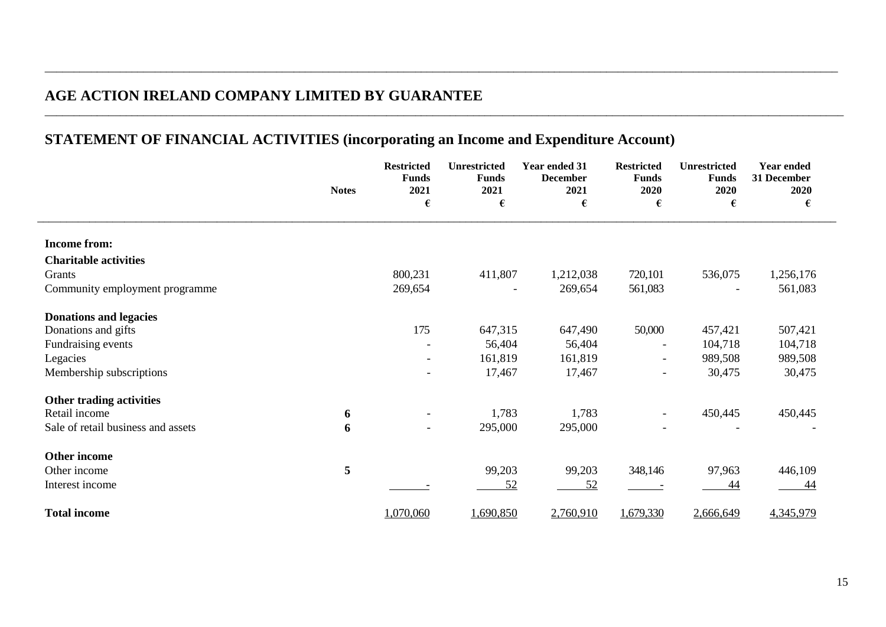# **STATEMENT OF FINANCIAL ACTIVITIES (incorporating an Income and Expenditure Account)**

|                                    | <b>Notes</b> | <b>Restricted</b><br><b>Funds</b><br>2021<br>€ | <b>Unrestricted</b><br><b>Funds</b><br>2021<br>€ | <b>Year ended 31</b><br><b>December</b><br>2021<br>€ | <b>Restricted</b><br><b>Funds</b><br>2020<br>€ | <b>Unrestricted</b><br><b>Funds</b><br>2020<br>€ | <b>Year ended</b><br>31 December<br>2020<br>€ |
|------------------------------------|--------------|------------------------------------------------|--------------------------------------------------|------------------------------------------------------|------------------------------------------------|--------------------------------------------------|-----------------------------------------------|
| <b>Income from:</b>                |              |                                                |                                                  |                                                      |                                                |                                                  |                                               |
| <b>Charitable activities</b>       |              |                                                |                                                  |                                                      |                                                |                                                  |                                               |
| Grants                             |              | 800,231                                        | 411,807                                          | 1,212,038                                            | 720,101                                        | 536,075                                          | 1,256,176                                     |
|                                    |              | 269,654                                        |                                                  |                                                      |                                                |                                                  |                                               |
| Community employment programme     |              |                                                |                                                  | 269,654                                              | 561,083                                        |                                                  | 561,083                                       |
| <b>Donations and legacies</b>      |              |                                                |                                                  |                                                      |                                                |                                                  |                                               |
| Donations and gifts                |              | 175                                            | 647,315                                          | 647,490                                              | 50,000                                         | 457,421                                          | 507,421                                       |
| Fundraising events                 |              | $\overline{\phantom{a}}$                       | 56,404                                           | 56,404                                               | $\overline{\phantom{a}}$                       | 104,718                                          | 104,718                                       |
| Legacies                           |              | $\overline{\phantom{a}}$                       | 161,819                                          | 161,819                                              | $\overline{\phantom{a}}$                       | 989,508                                          | 989,508                                       |
| Membership subscriptions           |              |                                                | 17,467                                           | 17,467                                               | $\overline{\phantom{a}}$                       | 30,475                                           | 30,475                                        |
|                                    |              |                                                |                                                  |                                                      |                                                |                                                  |                                               |
| Other trading activities           |              |                                                |                                                  |                                                      |                                                |                                                  |                                               |
| Retail income                      | 6            | $\overline{\phantom{a}}$                       | 1,783                                            | 1,783                                                | $\overline{\phantom{a}}$                       | 450,445                                          | 450,445                                       |
| Sale of retail business and assets | 6            | $\overline{\phantom{a}}$                       | 295,000                                          | 295,000                                              |                                                |                                                  |                                               |
|                                    |              |                                                |                                                  |                                                      |                                                |                                                  |                                               |
| Other income                       |              |                                                |                                                  |                                                      |                                                |                                                  |                                               |
| Other income                       | 5            |                                                | 99,203                                           | 99,203                                               | 348,146                                        | 97,963                                           | 446,109                                       |
| Interest income                    |              |                                                | <u>52</u>                                        | <u>52</u>                                            |                                                | <u>44</u>                                        | 44                                            |
|                                    |              |                                                |                                                  |                                                      |                                                |                                                  |                                               |
| <b>Total income</b>                |              | 1,070,060                                      | 1,690,850                                        | 2,760,910                                            | 1,679,330                                      | 2,666,649                                        | 4,345,979                                     |

\_\_\_\_\_\_\_\_\_\_\_\_\_\_\_\_\_\_\_\_\_\_\_\_\_\_\_\_\_\_\_\_\_\_\_\_\_\_\_\_\_\_\_\_\_\_\_\_\_\_\_\_\_\_\_\_\_\_\_\_\_\_\_\_\_\_\_\_\_\_\_\_\_\_\_\_\_\_\_\_\_\_\_\_\_\_\_\_\_\_\_\_\_\_\_\_\_\_\_\_\_\_\_\_\_\_\_\_\_\_\_\_\_\_\_\_\_\_\_\_\_\_\_\_\_\_\_\_\_\_\_\_\_\_\_\_\_

\_\_\_\_\_\_\_\_\_\_\_\_\_\_\_\_\_\_\_\_\_\_\_\_\_\_\_\_\_\_\_\_\_\_\_\_\_\_\_\_\_\_\_\_\_\_\_\_\_\_\_\_\_\_\_\_\_\_\_\_\_\_\_\_\_\_\_\_\_\_\_\_\_\_\_\_\_\_\_\_\_\_\_\_\_\_\_\_\_\_\_\_\_\_\_\_\_\_\_\_\_\_\_\_\_\_\_\_\_\_\_\_\_\_\_\_\_\_\_\_\_\_\_\_\_\_\_\_\_\_\_\_\_\_\_\_\_\_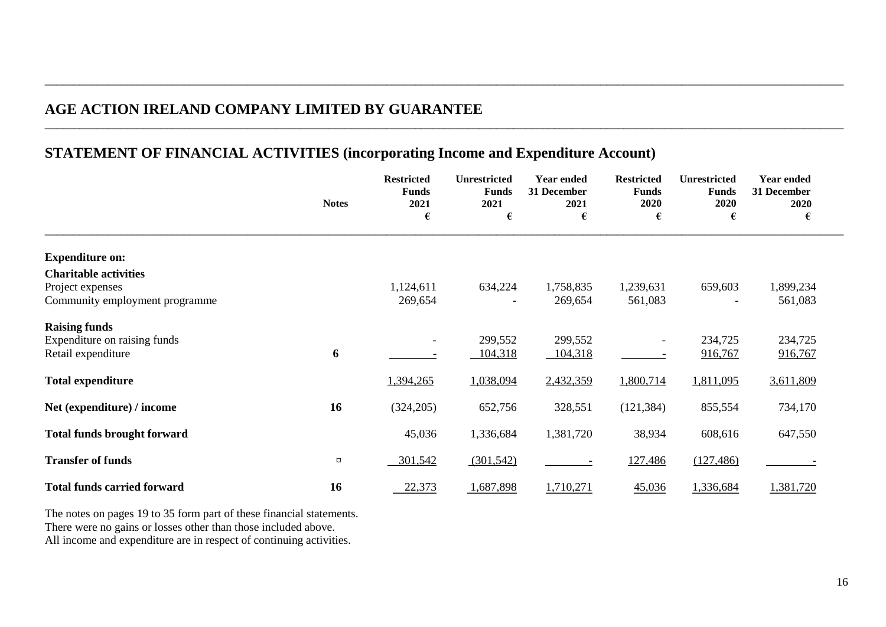# **STATEMENT OF FINANCIAL ACTIVITIES (incorporating Income and Expenditure Account)**

|                                    | <b>Notes</b> | <b>Restricted</b><br><b>Funds</b><br>2021<br>€ | <b>Unrestricted</b><br><b>Funds</b><br>2021<br>€ | <b>Year ended</b><br>31 December<br>2021<br>€ | <b>Restricted</b><br><b>Funds</b><br>2020<br>€ | <b>Unrestricted</b><br><b>Funds</b><br>2020<br>€ | <b>Year ended</b><br>31 December<br>2020<br>€ |  |
|------------------------------------|--------------|------------------------------------------------|--------------------------------------------------|-----------------------------------------------|------------------------------------------------|--------------------------------------------------|-----------------------------------------------|--|
| <b>Expenditure on:</b>             |              |                                                |                                                  |                                               |                                                |                                                  |                                               |  |
| <b>Charitable activities</b>       |              |                                                |                                                  |                                               |                                                |                                                  |                                               |  |
| Project expenses                   |              | 1,124,611                                      | 634,224                                          | 1,758,835                                     | 1,239,631                                      | 659,603                                          | 1,899,234                                     |  |
| Community employment programme     |              | 269,654                                        |                                                  | 269,654                                       | 561,083                                        |                                                  | 561,083                                       |  |
| <b>Raising funds</b>               |              |                                                |                                                  |                                               |                                                |                                                  |                                               |  |
| Expenditure on raising funds       |              | $\overline{\phantom{a}}$                       | 299,552                                          | 299,552                                       |                                                | 234,725                                          | 234,725                                       |  |
| Retail expenditure                 | 6            |                                                | 104,318                                          | 104,318                                       |                                                | 916,767                                          | 916,767                                       |  |
| <b>Total expenditure</b>           |              | 1,394,265                                      | 1,038,094                                        | 2,432,359                                     | 1,800,714                                      | 1,811,095                                        | 3,611,809                                     |  |
| Net (expenditure) / income         | 16           | (324, 205)                                     | 652,756                                          | 328,551                                       | (121, 384)                                     | 855,554                                          | 734,170                                       |  |
| <b>Total funds brought forward</b> |              | 45,036                                         | 1,336,684                                        | 1,381,720                                     | 38,934                                         | 608,616                                          | 647,550                                       |  |
| <b>Transfer of funds</b>           | $\rm z$      | 301,542                                        | (301, 542)                                       |                                               | 127,486                                        | (127, 486)                                       |                                               |  |
| <b>Total funds carried forward</b> | 16           | 22,373                                         | 1,687,898                                        | 1,710,271                                     | 45,036                                         | 1,336,684                                        | 1,381,720                                     |  |

\_\_\_\_\_\_\_\_\_\_\_\_\_\_\_\_\_\_\_\_\_\_\_\_\_\_\_\_\_\_\_\_\_\_\_\_\_\_\_\_\_\_\_\_\_\_\_\_\_\_\_\_\_\_\_\_\_\_\_\_\_\_\_\_\_\_\_\_\_\_\_\_\_\_\_\_\_\_\_\_\_\_\_\_\_\_\_\_\_\_\_\_\_\_\_\_\_\_\_\_\_\_\_\_\_\_\_\_\_\_\_\_\_\_\_\_\_\_\_\_\_\_\_\_\_\_\_\_\_\_\_\_\_\_\_\_\_\_

\_\_\_\_\_\_\_\_\_\_\_\_\_\_\_\_\_\_\_\_\_\_\_\_\_\_\_\_\_\_\_\_\_\_\_\_\_\_\_\_\_\_\_\_\_\_\_\_\_\_\_\_\_\_\_\_\_\_\_\_\_\_\_\_\_\_\_\_\_\_\_\_\_\_\_\_\_\_\_\_\_\_\_\_\_\_\_\_\_\_\_\_\_\_\_\_\_\_\_\_\_\_\_\_\_\_\_\_\_\_\_\_\_\_\_\_\_\_\_\_\_\_\_\_\_\_\_\_\_\_\_\_\_\_\_\_\_\_

The notes on pages 19 to 35 form part of these financial statements.

There were no gains or losses other than those included above.

All income and expenditure are in respect of continuing activities.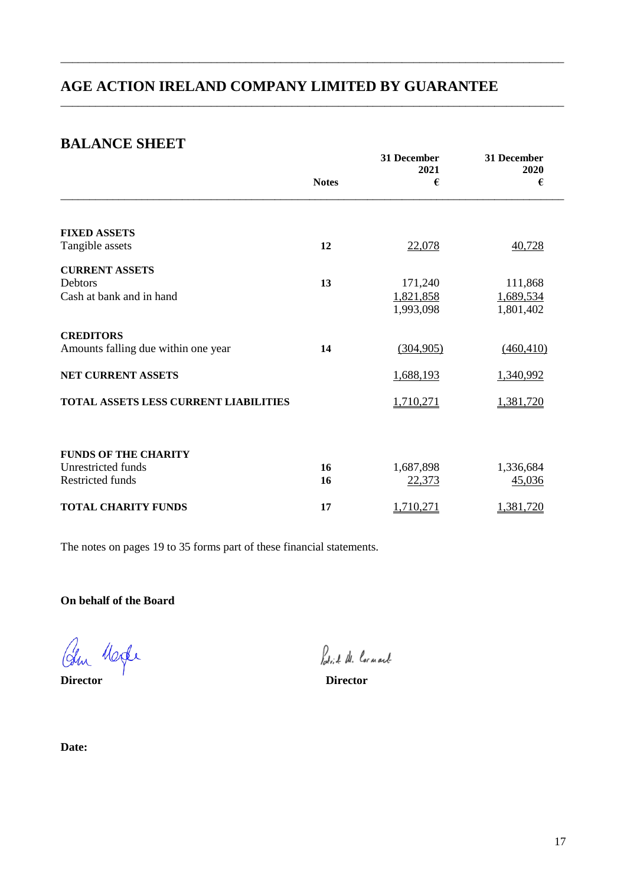\_\_\_\_\_\_\_\_\_\_\_\_\_\_\_\_\_\_\_\_\_\_\_\_\_\_\_\_\_\_\_\_\_\_\_\_\_\_\_\_\_\_\_\_\_\_\_\_\_\_\_\_\_\_\_\_\_\_\_\_\_\_\_\_\_\_\_\_\_\_\_\_\_\_\_\_\_\_\_\_\_\_\_\_\_\_\_

\_\_\_\_\_\_\_\_\_\_\_\_\_\_\_\_\_\_\_\_\_\_\_\_\_\_\_\_\_\_\_\_\_\_\_\_\_\_\_\_\_\_\_\_\_\_\_\_\_\_\_\_\_\_\_\_\_\_\_\_\_\_\_\_\_\_\_\_\_\_\_\_\_\_\_\_\_\_\_\_\_\_\_\_\_\_\_

## **BALANCE SHEET**

|                                              |              | 31 December<br>2021 | 31 December<br>2020 |
|----------------------------------------------|--------------|---------------------|---------------------|
|                                              | <b>Notes</b> | €                   | €                   |
|                                              |              |                     |                     |
| <b>FIXED ASSETS</b>                          |              |                     |                     |
| Tangible assets                              | 12           | 22,078              | 40,728              |
| <b>CURRENT ASSETS</b>                        |              |                     |                     |
| Debtors                                      | 13           | 171,240             | 111,868             |
| Cash at bank and in hand                     |              | 1,821,858           | 1,689,534           |
|                                              |              | 1,993,098           | 1,801,402           |
| <b>CREDITORS</b>                             |              |                     |                     |
| Amounts falling due within one year          | 14           | (304, 905)          | (460, 410)          |
| <b>NET CURRENT ASSETS</b>                    |              | 1,688,193           | 1,340,992           |
| <b>TOTAL ASSETS LESS CURRENT LIABILITIES</b> |              | 1,710,271           | 1,381,720           |
|                                              |              |                     |                     |
| <b>FUNDS OF THE CHARITY</b>                  |              |                     |                     |
| Unrestricted funds                           | 16           | 1,687,898           | 1,336,684           |
| Restricted funds                             | 16           | 22,373              | 45,036              |
| <b>TOTAL CHARITY FUNDS</b>                   | 17           | 1,710,271           | 1,381,720           |

The notes on pages 19 to 35 forms part of these financial statements.

**On behalf of the Board**

**Director Director**

Patrick Ul. Cornard

**Date:**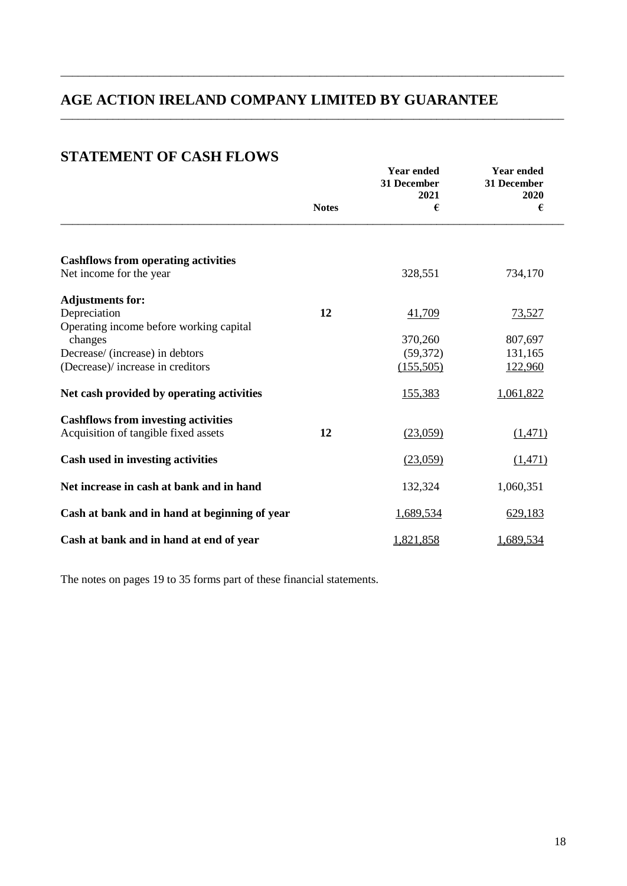\_\_\_\_\_\_\_\_\_\_\_\_\_\_\_\_\_\_\_\_\_\_\_\_\_\_\_\_\_\_\_\_\_\_\_\_\_\_\_\_\_\_\_\_\_\_\_\_\_\_\_\_\_\_\_\_\_\_\_\_\_\_\_\_\_\_\_\_\_\_\_\_\_\_\_\_\_\_\_\_\_\_\_\_\_\_\_

\_\_\_\_\_\_\_\_\_\_\_\_\_\_\_\_\_\_\_\_\_\_\_\_\_\_\_\_\_\_\_\_\_\_\_\_\_\_\_\_\_\_\_\_\_\_\_\_\_\_\_\_\_\_\_\_\_\_\_\_\_\_\_\_\_\_\_\_\_\_\_\_\_\_\_\_\_\_\_\_\_\_\_\_\_\_\_

# **STATEMENT OF CASH FLOWS**

|                                               | <b>Notes</b> | <b>Year ended</b><br>31 December<br>2021<br>€ | <b>Year ended</b><br>31 December<br>2020<br>€ |
|-----------------------------------------------|--------------|-----------------------------------------------|-----------------------------------------------|
|                                               |              |                                               |                                               |
| <b>Cashflows from operating activities</b>    |              |                                               |                                               |
| Net income for the year                       |              | 328,551                                       | 734,170                                       |
| <b>Adjustments for:</b>                       |              |                                               |                                               |
| Depreciation                                  | 12           | 41,709                                        | 73,527                                        |
| Operating income before working capital       |              |                                               |                                               |
| changes                                       |              | 370,260                                       | 807,697                                       |
| Decrease/ (increase) in debtors               |              | (59, 372)                                     | 131,165                                       |
| (Decrease)/ increase in creditors             |              | (155,505)                                     | 122,960                                       |
| Net cash provided by operating activities     |              | 155,383                                       | 1,061,822                                     |
| <b>Cashflows from investing activities</b>    |              |                                               |                                               |
| Acquisition of tangible fixed assets          | 12           | (23,059)                                      | (1,471)                                       |
| Cash used in investing activities             |              | (23,059)                                      | (1, 471)                                      |
| Net increase in cash at bank and in hand      |              | 132,324                                       | 1,060,351                                     |
| Cash at bank and in hand at beginning of year |              | 1,689,534                                     | 629,183                                       |
| Cash at bank and in hand at end of year       |              | 1,821,858                                     | 1,689,534                                     |

The notes on pages 19 to 35 forms part of these financial statements.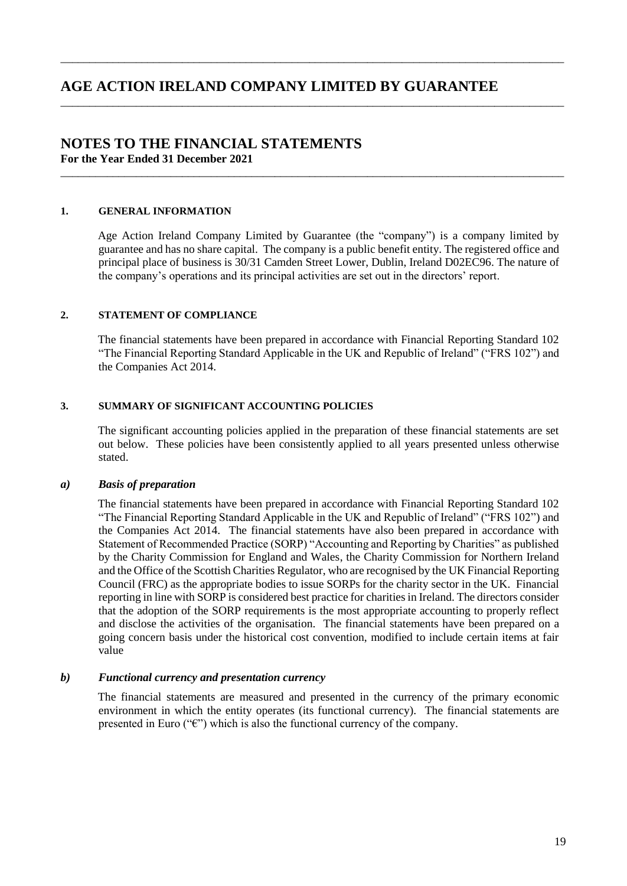\_\_\_\_\_\_\_\_\_\_\_\_\_\_\_\_\_\_\_\_\_\_\_\_\_\_\_\_\_\_\_\_\_\_\_\_\_\_\_\_\_\_\_\_\_\_\_\_\_\_\_\_\_\_\_\_\_\_\_\_\_\_\_\_\_\_\_\_\_\_\_\_\_\_\_\_\_\_\_\_\_\_\_\_\_\_\_

\_\_\_\_\_\_\_\_\_\_\_\_\_\_\_\_\_\_\_\_\_\_\_\_\_\_\_\_\_\_\_\_\_\_\_\_\_\_\_\_\_\_\_\_\_\_\_\_\_\_\_\_\_\_\_\_\_\_\_\_\_\_\_\_\_\_\_\_\_\_\_\_\_\_\_\_\_\_\_\_\_\_\_\_\_\_\_

\_\_\_\_\_\_\_\_\_\_\_\_\_\_\_\_\_\_\_\_\_\_\_\_\_\_\_\_\_\_\_\_\_\_\_\_\_\_\_\_\_\_\_\_\_\_\_\_\_\_\_\_\_\_\_\_\_\_\_\_\_\_\_\_\_\_\_\_\_\_\_\_\_\_\_\_\_\_\_\_\_\_\_\_\_\_\_

### **NOTES TO THE FINANCIAL STATEMENTS For the Year Ended 31 December 2021**

#### **1. GENERAL INFORMATION**

Age Action Ireland Company Limited by Guarantee (the "company") is a company limited by guarantee and has no share capital. The company is a public benefit entity. The registered office and principal place of business is 30/31 Camden Street Lower, Dublin, Ireland D02EC96. The nature of the company's operations and its principal activities are set out in the directors' report.

#### **2. STATEMENT OF COMPLIANCE**

The financial statements have been prepared in accordance with Financial Reporting Standard 102 "The Financial Reporting Standard Applicable in the UK and Republic of Ireland" ("FRS 102") and the Companies Act 2014.

#### **3. SUMMARY OF SIGNIFICANT ACCOUNTING POLICIES**

The significant accounting policies applied in the preparation of these financial statements are set out below. These policies have been consistently applied to all years presented unless otherwise stated.

#### *a) Basis of preparation*

The financial statements have been prepared in accordance with Financial Reporting Standard 102 "The Financial Reporting Standard Applicable in the UK and Republic of Ireland" ("FRS 102") and the Companies Act 2014. The financial statements have also been prepared in accordance with Statement of Recommended Practice (SORP) "Accounting and Reporting by Charities" as published by the Charity Commission for England and Wales, the Charity Commission for Northern Ireland and the Office of the Scottish Charities Regulator, who are recognised by the UK Financial Reporting Council (FRC) as the appropriate bodies to issue SORPs for the charity sector in the UK. Financial reporting in line with SORP is considered best practice for charities in Ireland. The directors consider that the adoption of the SORP requirements is the most appropriate accounting to properly reflect and disclose the activities of the organisation. The financial statements have been prepared on a going concern basis under the historical cost convention, modified to include certain items at fair value

#### *b) Functional currency and presentation currency*

The financial statements are measured and presented in the currency of the primary economic environment in which the entity operates (its functional currency). The financial statements are presented in Euro ("€") which is also the functional currency of the company.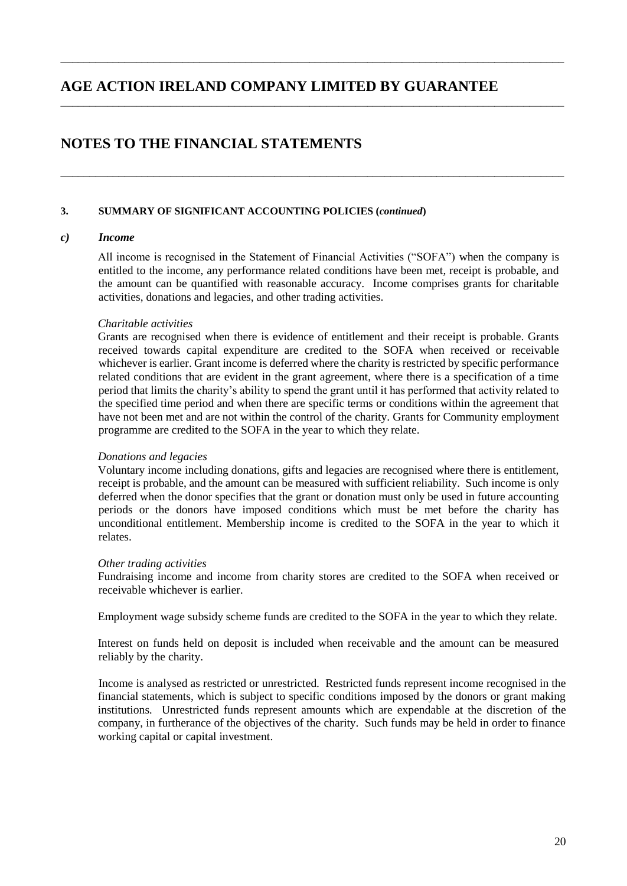\_\_\_\_\_\_\_\_\_\_\_\_\_\_\_\_\_\_\_\_\_\_\_\_\_\_\_\_\_\_\_\_\_\_\_\_\_\_\_\_\_\_\_\_\_\_\_\_\_\_\_\_\_\_\_\_\_\_\_\_\_\_\_\_\_\_\_\_\_\_\_\_\_\_\_\_\_\_\_\_\_\_\_\_\_\_\_

\_\_\_\_\_\_\_\_\_\_\_\_\_\_\_\_\_\_\_\_\_\_\_\_\_\_\_\_\_\_\_\_\_\_\_\_\_\_\_\_\_\_\_\_\_\_\_\_\_\_\_\_\_\_\_\_\_\_\_\_\_\_\_\_\_\_\_\_\_\_\_\_\_\_\_\_\_\_\_\_\_\_\_\_\_\_\_

\_\_\_\_\_\_\_\_\_\_\_\_\_\_\_\_\_\_\_\_\_\_\_\_\_\_\_\_\_\_\_\_\_\_\_\_\_\_\_\_\_\_\_\_\_\_\_\_\_\_\_\_\_\_\_\_\_\_\_\_\_\_\_\_\_\_\_\_\_\_\_\_\_\_\_\_\_\_\_\_\_\_\_\_\_\_\_

## **NOTES TO THE FINANCIAL STATEMENTS**

#### **3. SUMMARY OF SIGNIFICANT ACCOUNTING POLICIES (***continued***)**

### *c) Income*

All income is recognised in the Statement of Financial Activities ("SOFA") when the company is entitled to the income, any performance related conditions have been met, receipt is probable, and the amount can be quantified with reasonable accuracy. Income comprises grants for charitable activities, donations and legacies, and other trading activities.

#### *Charitable activities*

Grants are recognised when there is evidence of entitlement and their receipt is probable. Grants received towards capital expenditure are credited to the SOFA when received or receivable whichever is earlier. Grant income is deferred where the charity is restricted by specific performance related conditions that are evident in the grant agreement, where there is a specification of a time period that limits the charity's ability to spend the grant until it has performed that activity related to the specified time period and when there are specific terms or conditions within the agreement that have not been met and are not within the control of the charity. Grants for Community employment programme are credited to the SOFA in the year to which they relate.

### *Donations and legacies*

Voluntary income including donations, gifts and legacies are recognised where there is entitlement, receipt is probable, and the amount can be measured with sufficient reliability. Such income is only deferred when the donor specifies that the grant or donation must only be used in future accounting periods or the donors have imposed conditions which must be met before the charity has unconditional entitlement. Membership income is credited to the SOFA in the year to which it relates.

### *Other trading activities*

Fundraising income and income from charity stores are credited to the SOFA when received or receivable whichever is earlier.

Employment wage subsidy scheme funds are credited to the SOFA in the year to which they relate.

Interest on funds held on deposit is included when receivable and the amount can be measured reliably by the charity.

Income is analysed as restricted or unrestricted. Restricted funds represent income recognised in the financial statements, which is subject to specific conditions imposed by the donors or grant making institutions. Unrestricted funds represent amounts which are expendable at the discretion of the company, in furtherance of the objectives of the charity. Such funds may be held in order to finance working capital or capital investment.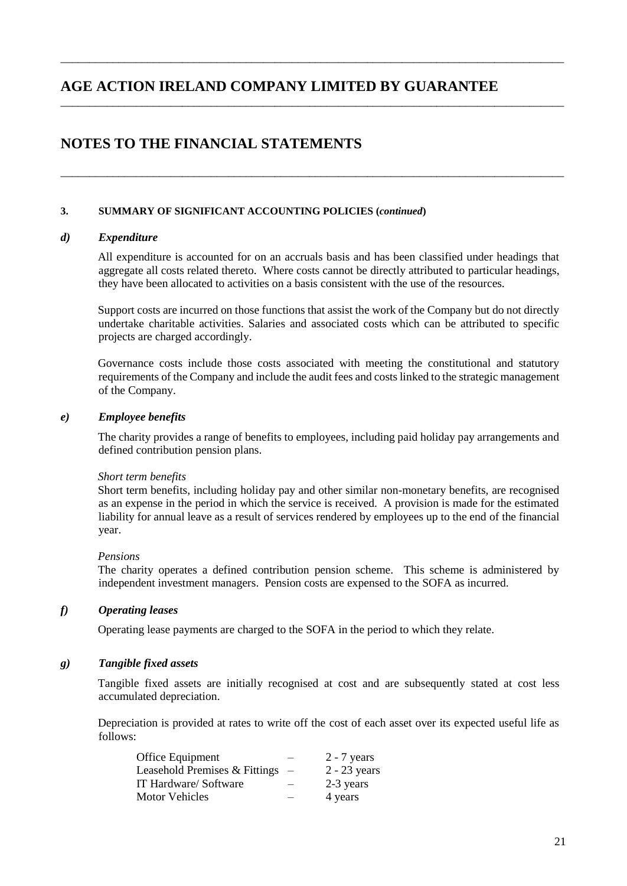\_\_\_\_\_\_\_\_\_\_\_\_\_\_\_\_\_\_\_\_\_\_\_\_\_\_\_\_\_\_\_\_\_\_\_\_\_\_\_\_\_\_\_\_\_\_\_\_\_\_\_\_\_\_\_\_\_\_\_\_\_\_\_\_\_\_\_\_\_\_\_\_\_\_\_\_\_\_\_\_\_\_\_\_\_\_\_

\_\_\_\_\_\_\_\_\_\_\_\_\_\_\_\_\_\_\_\_\_\_\_\_\_\_\_\_\_\_\_\_\_\_\_\_\_\_\_\_\_\_\_\_\_\_\_\_\_\_\_\_\_\_\_\_\_\_\_\_\_\_\_\_\_\_\_\_\_\_\_\_\_\_\_\_\_\_\_\_\_\_\_\_\_\_\_

\_\_\_\_\_\_\_\_\_\_\_\_\_\_\_\_\_\_\_\_\_\_\_\_\_\_\_\_\_\_\_\_\_\_\_\_\_\_\_\_\_\_\_\_\_\_\_\_\_\_\_\_\_\_\_\_\_\_\_\_\_\_\_\_\_\_\_\_\_\_\_\_\_\_\_\_\_\_\_\_\_\_\_\_\_\_\_

## **NOTES TO THE FINANCIAL STATEMENTS**

#### **3. SUMMARY OF SIGNIFICANT ACCOUNTING POLICIES (***continued***)**

### *d) Expenditure*

All expenditure is accounted for on an accruals basis and has been classified under headings that aggregate all costs related thereto. Where costs cannot be directly attributed to particular headings, they have been allocated to activities on a basis consistent with the use of the resources.

Support costs are incurred on those functions that assist the work of the Company but do not directly undertake charitable activities. Salaries and associated costs which can be attributed to specific projects are charged accordingly.

Governance costs include those costs associated with meeting the constitutional and statutory requirements of the Company and include the audit fees and costs linked to the strategic management of the Company.

#### *e) Employee benefits*

The charity provides a range of benefits to employees, including paid holiday pay arrangements and defined contribution pension plans.

#### *Short term benefits*

Short term benefits, including holiday pay and other similar non-monetary benefits, are recognised as an expense in the period in which the service is received. A provision is made for the estimated liability for annual leave as a result of services rendered by employees up to the end of the financial year.

### *Pensions*

The charity operates a defined contribution pension scheme. This scheme is administered by independent investment managers. Pension costs are expensed to the SOFA as incurred.

### *f) Operating leases*

Operating lease payments are charged to the SOFA in the period to which they relate.

### *g) Tangible fixed assets*

Tangible fixed assets are initially recognised at cost and are subsequently stated at cost less accumulated depreciation.

Depreciation is provided at rates to write off the cost of each asset over its expected useful life as follows:

| Office Equipment                  |                          | $2 - 7$ years  |
|-----------------------------------|--------------------------|----------------|
| Leasehold Premises & Fittings $-$ |                          | $2 - 23$ years |
| IT Hardware/ Software             | $\overline{\phantom{0}}$ | 2-3 years      |
| <b>Motor Vehicles</b>             |                          | 4 years        |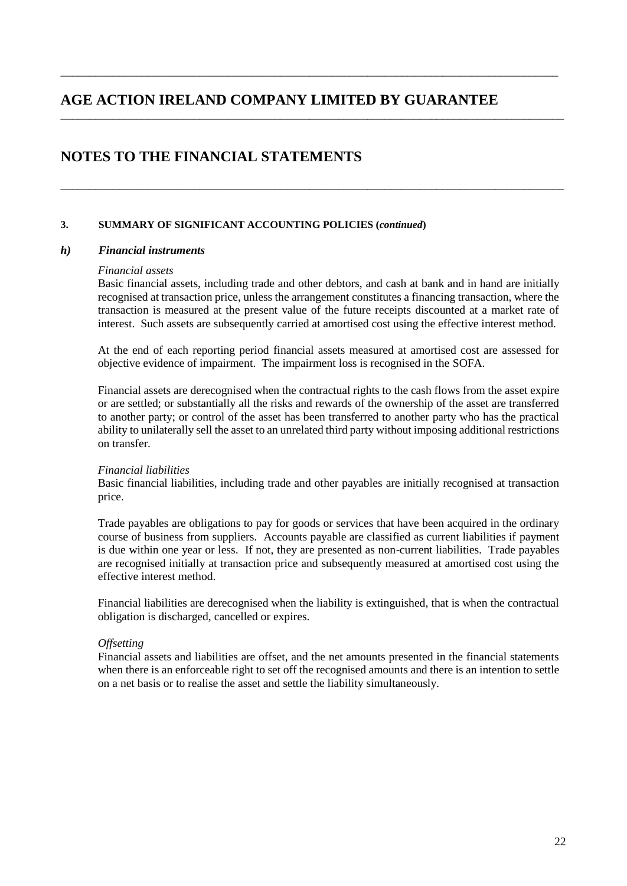\_\_\_\_\_\_\_\_\_\_\_\_\_\_\_\_\_\_\_\_\_\_\_\_\_\_\_\_\_\_\_\_\_\_\_\_\_\_\_\_\_\_\_\_\_\_\_\_\_\_\_\_\_\_\_\_\_\_\_\_\_\_\_\_\_\_\_\_\_\_\_\_\_\_\_\_\_\_\_\_\_\_\_\_\_\_

\_\_\_\_\_\_\_\_\_\_\_\_\_\_\_\_\_\_\_\_\_\_\_\_\_\_\_\_\_\_\_\_\_\_\_\_\_\_\_\_\_\_\_\_\_\_\_\_\_\_\_\_\_\_\_\_\_\_\_\_\_\_\_\_\_\_\_\_\_\_\_\_\_\_\_\_\_\_\_\_\_\_\_\_\_\_\_

\_\_\_\_\_\_\_\_\_\_\_\_\_\_\_\_\_\_\_\_\_\_\_\_\_\_\_\_\_\_\_\_\_\_\_\_\_\_\_\_\_\_\_\_\_\_\_\_\_\_\_\_\_\_\_\_\_\_\_\_\_\_\_\_\_\_\_\_\_\_\_\_\_\_\_\_\_\_\_\_\_\_\_\_\_\_\_

### **NOTES TO THE FINANCIAL STATEMENTS**

### **3. SUMMARY OF SIGNIFICANT ACCOUNTING POLICIES (***continued***)**

#### *h) Financial instruments*

#### *Financial assets*

Basic financial assets, including trade and other debtors, and cash at bank and in hand are initially recognised at transaction price, unless the arrangement constitutes a financing transaction, where the transaction is measured at the present value of the future receipts discounted at a market rate of interest. Such assets are subsequently carried at amortised cost using the effective interest method.

At the end of each reporting period financial assets measured at amortised cost are assessed for objective evidence of impairment. The impairment loss is recognised in the SOFA.

Financial assets are derecognised when the contractual rights to the cash flows from the asset expire or are settled; or substantially all the risks and rewards of the ownership of the asset are transferred to another party; or control of the asset has been transferred to another party who has the practical ability to unilaterally sell the asset to an unrelated third party without imposing additional restrictions on transfer.

#### *Financial liabilities*

Basic financial liabilities, including trade and other payables are initially recognised at transaction price.

Trade payables are obligations to pay for goods or services that have been acquired in the ordinary course of business from suppliers. Accounts payable are classified as current liabilities if payment is due within one year or less. If not, they are presented as non-current liabilities. Trade payables are recognised initially at transaction price and subsequently measured at amortised cost using the effective interest method.

Financial liabilities are derecognised when the liability is extinguished, that is when the contractual obligation is discharged, cancelled or expires.

#### *Offsetting*

Financial assets and liabilities are offset, and the net amounts presented in the financial statements when there is an enforceable right to set off the recognised amounts and there is an intention to settle on a net basis or to realise the asset and settle the liability simultaneously.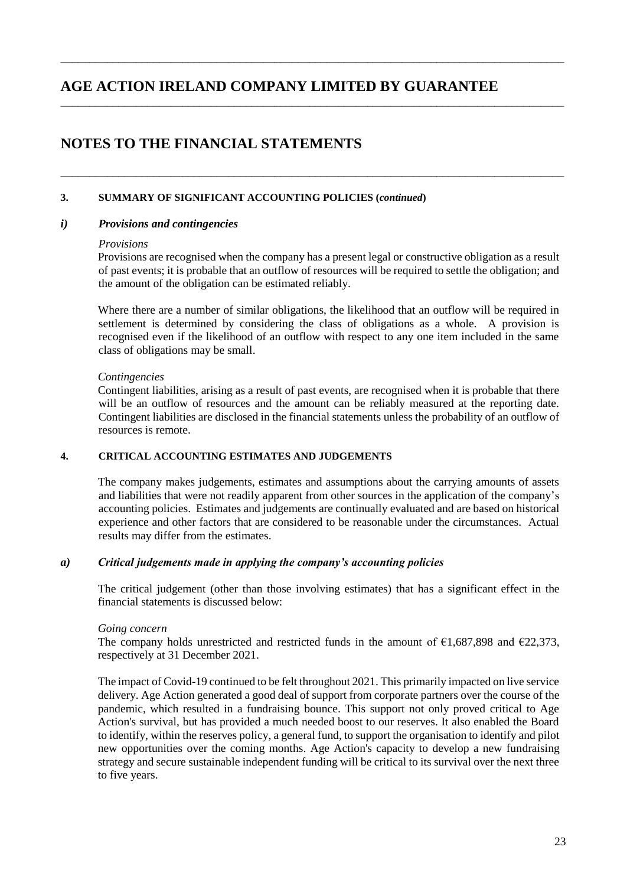\_\_\_\_\_\_\_\_\_\_\_\_\_\_\_\_\_\_\_\_\_\_\_\_\_\_\_\_\_\_\_\_\_\_\_\_\_\_\_\_\_\_\_\_\_\_\_\_\_\_\_\_\_\_\_\_\_\_\_\_\_\_\_\_\_\_\_\_\_\_\_\_\_\_\_\_\_\_\_\_\_\_\_\_\_\_\_

\_\_\_\_\_\_\_\_\_\_\_\_\_\_\_\_\_\_\_\_\_\_\_\_\_\_\_\_\_\_\_\_\_\_\_\_\_\_\_\_\_\_\_\_\_\_\_\_\_\_\_\_\_\_\_\_\_\_\_\_\_\_\_\_\_\_\_\_\_\_\_\_\_\_\_\_\_\_\_\_\_\_\_\_\_\_\_

\_\_\_\_\_\_\_\_\_\_\_\_\_\_\_\_\_\_\_\_\_\_\_\_\_\_\_\_\_\_\_\_\_\_\_\_\_\_\_\_\_\_\_\_\_\_\_\_\_\_\_\_\_\_\_\_\_\_\_\_\_\_\_\_\_\_\_\_\_\_\_\_\_\_\_\_\_\_\_\_\_\_\_\_\_\_\_

# **NOTES TO THE FINANCIAL STATEMENTS**

#### **3. SUMMARY OF SIGNIFICANT ACCOUNTING POLICIES (***continued***)**

### *i) Provisions and contingencies*

#### *Provisions*

Provisions are recognised when the company has a present legal or constructive obligation as a result of past events; it is probable that an outflow of resources will be required to settle the obligation; and the amount of the obligation can be estimated reliably.

Where there are a number of similar obligations, the likelihood that an outflow will be required in settlement is determined by considering the class of obligations as a whole. A provision is recognised even if the likelihood of an outflow with respect to any one item included in the same class of obligations may be small.

#### *Contingencies*

Contingent liabilities, arising as a result of past events, are recognised when it is probable that there will be an outflow of resources and the amount can be reliably measured at the reporting date. Contingent liabilities are disclosed in the financial statements unless the probability of an outflow of resources is remote.

### **4. CRITICAL ACCOUNTING ESTIMATES AND JUDGEMENTS**

The company makes judgements, estimates and assumptions about the carrying amounts of assets and liabilities that were not readily apparent from other sources in the application of the company's accounting policies. Estimates and judgements are continually evaluated and are based on historical experience and other factors that are considered to be reasonable under the circumstances. Actual results may differ from the estimates.

### *a) Critical judgements made in applying the company's accounting policies*

The critical judgement (other than those involving estimates) that has a significant effect in the financial statements is discussed below:

#### *Going concern*

The company holds unrestricted and restricted funds in the amount of  $\epsilon$ 1,687,898 and  $\epsilon$ 22,373, respectively at 31 December 2021.

The impact of Covid-19 continued to be felt throughout 2021. This primarily impacted on live service delivery. Age Action generated a good deal of support from corporate partners over the course of the pandemic, which resulted in a fundraising bounce. This support not only proved critical to Age Action's survival, but has provided a much needed boost to our reserves. It also enabled the Board to identify, within the reserves policy, a general fund, to support the organisation to identify and pilot new opportunities over the coming months. Age Action's capacity to develop a new fundraising strategy and secure sustainable independent funding will be critical to its survival over the next three to five years.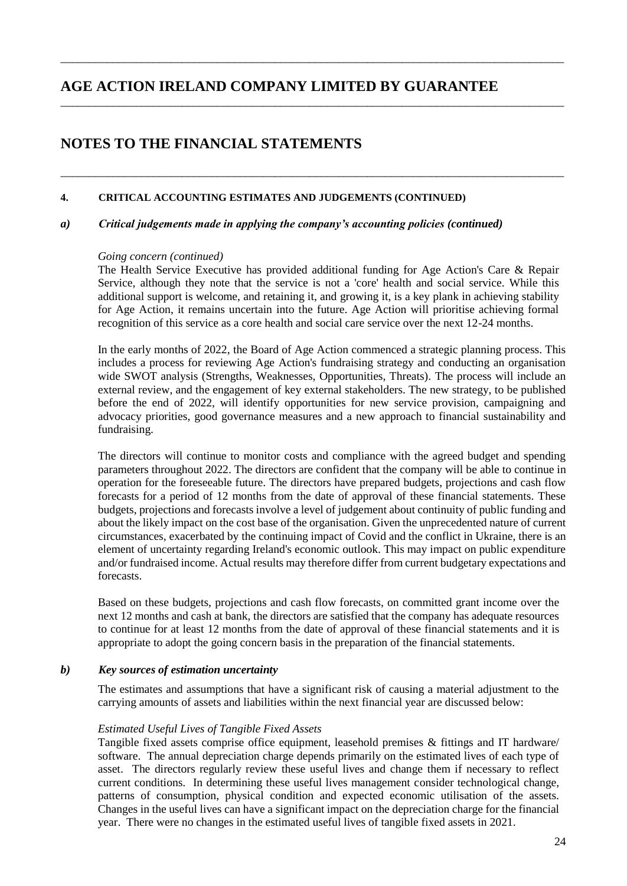\_\_\_\_\_\_\_\_\_\_\_\_\_\_\_\_\_\_\_\_\_\_\_\_\_\_\_\_\_\_\_\_\_\_\_\_\_\_\_\_\_\_\_\_\_\_\_\_\_\_\_\_\_\_\_\_\_\_\_\_\_\_\_\_\_\_\_\_\_\_\_\_\_\_\_\_\_\_\_\_\_\_\_\_\_\_\_

\_\_\_\_\_\_\_\_\_\_\_\_\_\_\_\_\_\_\_\_\_\_\_\_\_\_\_\_\_\_\_\_\_\_\_\_\_\_\_\_\_\_\_\_\_\_\_\_\_\_\_\_\_\_\_\_\_\_\_\_\_\_\_\_\_\_\_\_\_\_\_\_\_\_\_\_\_\_\_\_\_\_\_\_\_\_\_

\_\_\_\_\_\_\_\_\_\_\_\_\_\_\_\_\_\_\_\_\_\_\_\_\_\_\_\_\_\_\_\_\_\_\_\_\_\_\_\_\_\_\_\_\_\_\_\_\_\_\_\_\_\_\_\_\_\_\_\_\_\_\_\_\_\_\_\_\_\_\_\_\_\_\_\_\_\_\_\_\_\_\_\_\_\_\_

# **NOTES TO THE FINANCIAL STATEMENTS**

#### **4. CRITICAL ACCOUNTING ESTIMATES AND JUDGEMENTS (CONTINUED)**

#### *a) Critical judgements made in applying the company's accounting policies (continued)*

#### *Going concern (continued)*

The Health Service Executive has provided additional funding for Age Action's Care & Repair Service, although they note that the service is not a 'core' health and social service. While this additional support is welcome, and retaining it, and growing it, is a key plank in achieving stability for Age Action, it remains uncertain into the future. Age Action will prioritise achieving formal recognition of this service as a core health and social care service over the next 12-24 months.

In the early months of 2022, the Board of Age Action commenced a strategic planning process. This includes a process for reviewing Age Action's fundraising strategy and conducting an organisation wide SWOT analysis (Strengths, Weaknesses, Opportunities, Threats). The process will include an external review, and the engagement of key external stakeholders. The new strategy, to be published before the end of 2022, will identify opportunities for new service provision, campaigning and advocacy priorities, good governance measures and a new approach to financial sustainability and fundraising.

The directors will continue to monitor costs and compliance with the agreed budget and spending parameters throughout 2022. The directors are confident that the company will be able to continue in operation for the foreseeable future. The directors have prepared budgets, projections and cash flow forecasts for a period of 12 months from the date of approval of these financial statements. These budgets, projections and forecasts involve a level of judgement about continuity of public funding and about the likely impact on the cost base of the organisation. Given the unprecedented nature of current circumstances, exacerbated by the continuing impact of Covid and the conflict in Ukraine, there is an element of uncertainty regarding Ireland's economic outlook. This may impact on public expenditure and/or fundraised income. Actual results may therefore differ from current budgetary expectations and forecasts.

Based on these budgets, projections and cash flow forecasts, on committed grant income over the next 12 months and cash at bank, the directors are satisfied that the company has adequate resources to continue for at least 12 months from the date of approval of these financial statements and it is appropriate to adopt the going concern basis in the preparation of the financial statements.

### *b) Key sources of estimation uncertainty*

The estimates and assumptions that have a significant risk of causing a material adjustment to the carrying amounts of assets and liabilities within the next financial year are discussed below:

#### *Estimated Useful Lives of Tangible Fixed Assets*

Tangible fixed assets comprise office equipment, leasehold premises & fittings and IT hardware/ software. The annual depreciation charge depends primarily on the estimated lives of each type of asset. The directors regularly review these useful lives and change them if necessary to reflect current conditions. In determining these useful lives management consider technological change, patterns of consumption, physical condition and expected economic utilisation of the assets. Changes in the useful lives can have a significant impact on the depreciation charge for the financial year. There were no changes in the estimated useful lives of tangible fixed assets in 2021.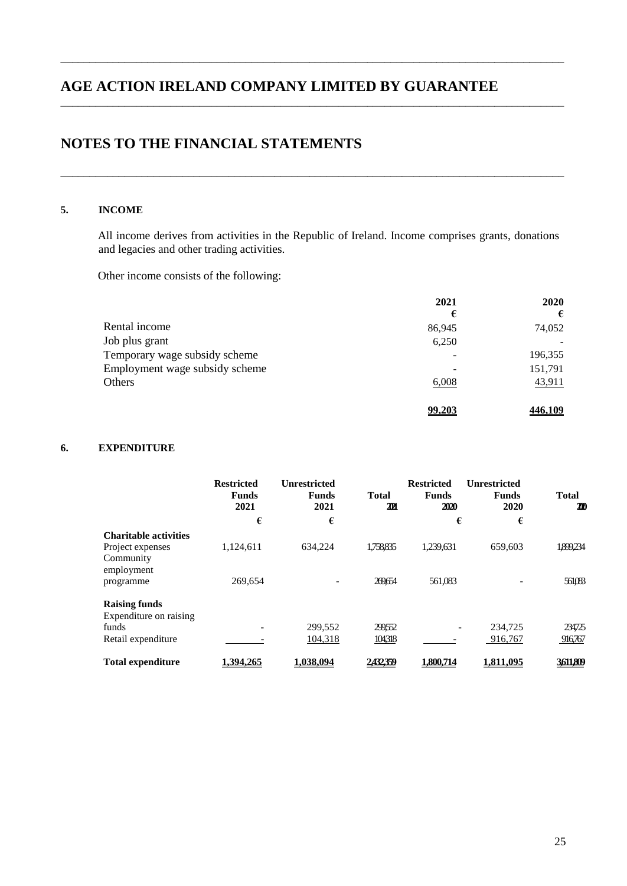\_\_\_\_\_\_\_\_\_\_\_\_\_\_\_\_\_\_\_\_\_\_\_\_\_\_\_\_\_\_\_\_\_\_\_\_\_\_\_\_\_\_\_\_\_\_\_\_\_\_\_\_\_\_\_\_\_\_\_\_\_\_\_\_\_\_\_\_\_\_\_\_\_\_\_\_\_\_\_\_\_\_\_\_\_\_\_

\_\_\_\_\_\_\_\_\_\_\_\_\_\_\_\_\_\_\_\_\_\_\_\_\_\_\_\_\_\_\_\_\_\_\_\_\_\_\_\_\_\_\_\_\_\_\_\_\_\_\_\_\_\_\_\_\_\_\_\_\_\_\_\_\_\_\_\_\_\_\_\_\_\_\_\_\_\_\_\_\_\_\_\_\_\_\_

\_\_\_\_\_\_\_\_\_\_\_\_\_\_\_\_\_\_\_\_\_\_\_\_\_\_\_\_\_\_\_\_\_\_\_\_\_\_\_\_\_\_\_\_\_\_\_\_\_\_\_\_\_\_\_\_\_\_\_\_\_\_\_\_\_\_\_\_\_\_\_\_\_\_\_\_\_\_\_\_\_\_\_\_\_\_\_

# **NOTES TO THE FINANCIAL STATEMENTS**

### **5. INCOME**

All income derives from activities in the Republic of Ireland. Income comprises grants, donations and legacies and other trading activities.

Other income consists of the following:

|                                | 2021   | 2020    |
|--------------------------------|--------|---------|
|                                | €      | €       |
| Rental income                  | 86,945 | 74,052  |
| Job plus grant                 | 6,250  |         |
| Temporary wage subsidy scheme  |        | 196,355 |
| Employment wage subsidy scheme |        | 151,791 |
| Others                         | 6,008  | 43,911  |
|                                | 99,203 | 446.109 |

### **6. EXPENDITURE**

|                              | <b>Restricted</b><br><b>Funds</b><br>2021<br>€ | <b>Unrestricted</b><br><b>Funds</b><br>2021<br>€ | <b>Total</b><br><b>201</b> | <b>Restricted</b><br><b>Funds</b><br>2020<br>€ | <b>Unrestricted</b><br><b>Funds</b><br>2020<br>€ | <b>Total</b><br>m |
|------------------------------|------------------------------------------------|--------------------------------------------------|----------------------------|------------------------------------------------|--------------------------------------------------|-------------------|
|                              |                                                |                                                  |                            |                                                |                                                  |                   |
| <b>Charitable activities</b> |                                                |                                                  |                            |                                                |                                                  |                   |
| Project expenses             | 1.124.611                                      | 634.224                                          | 1,758,835                  | 1.239.631                                      | 659,603                                          | 1,899,234         |
| Community                    |                                                |                                                  |                            |                                                |                                                  |                   |
| employment                   |                                                |                                                  |                            |                                                |                                                  |                   |
| programme                    | 269,654                                        |                                                  | 269654                     | 561,083                                        |                                                  | 561083            |
| <b>Raising funds</b>         |                                                |                                                  |                            |                                                |                                                  |                   |
| Expenditure on raising       |                                                |                                                  |                            |                                                |                                                  |                   |
| funds                        |                                                | 299,552                                          | 299552                     |                                                | 234,725                                          | 234,725           |
| Retail expenditure           |                                                | 104,318                                          | 104318                     |                                                | 916,767                                          | 916,767           |
|                              |                                                |                                                  |                            |                                                |                                                  |                   |
| <b>Total expenditure</b>     | .394,265                                       | 1.038.094                                        | 2432,359                   | 1.800.714                                      | 1,811,095                                        | 3611809           |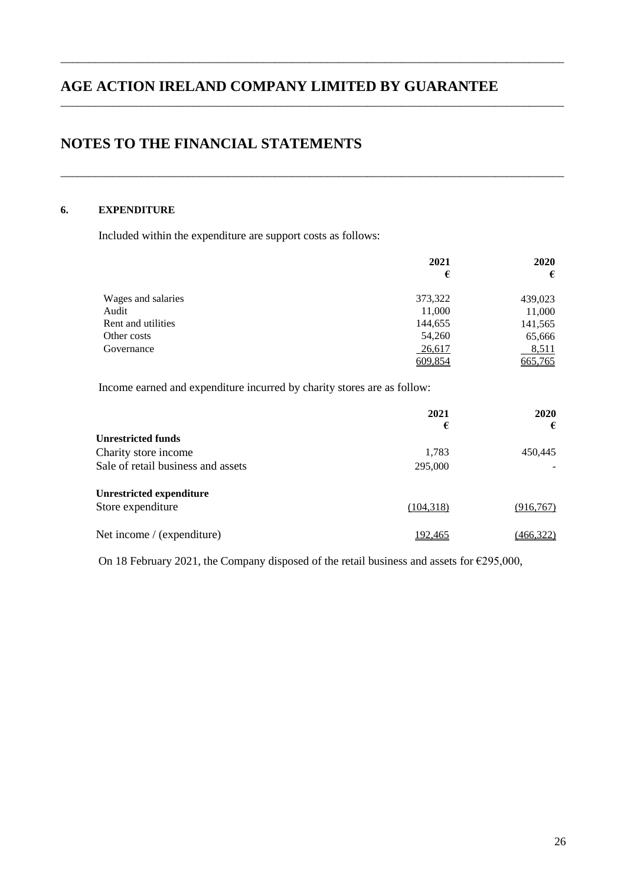\_\_\_\_\_\_\_\_\_\_\_\_\_\_\_\_\_\_\_\_\_\_\_\_\_\_\_\_\_\_\_\_\_\_\_\_\_\_\_\_\_\_\_\_\_\_\_\_\_\_\_\_\_\_\_\_\_\_\_\_\_\_\_\_\_\_\_\_\_\_\_\_\_\_\_\_\_\_\_\_\_\_\_\_\_\_\_

\_\_\_\_\_\_\_\_\_\_\_\_\_\_\_\_\_\_\_\_\_\_\_\_\_\_\_\_\_\_\_\_\_\_\_\_\_\_\_\_\_\_\_\_\_\_\_\_\_\_\_\_\_\_\_\_\_\_\_\_\_\_\_\_\_\_\_\_\_\_\_\_\_\_\_\_\_\_\_\_\_\_\_\_\_\_\_

\_\_\_\_\_\_\_\_\_\_\_\_\_\_\_\_\_\_\_\_\_\_\_\_\_\_\_\_\_\_\_\_\_\_\_\_\_\_\_\_\_\_\_\_\_\_\_\_\_\_\_\_\_\_\_\_\_\_\_\_\_\_\_\_\_\_\_\_\_\_\_\_\_\_\_\_\_\_\_\_\_\_\_\_\_\_\_

# **NOTES TO THE FINANCIAL STATEMENTS**

#### **6. EXPENDITURE**

Included within the expenditure are support costs as follows:

|                    | 2021    | <b>2020</b> |
|--------------------|---------|-------------|
|                    | €       | €           |
| Wages and salaries | 373,322 | 439,023     |
| Audit              | 11,000  | 11,000      |
| Rent and utilities | 144,655 | 141,565     |
| Other costs        | 54,260  | 65,666      |
| Governance         | 26,617  | 8,511       |
|                    | 609,854 | 665,765     |

Income earned and expenditure incurred by charity stores are as follow:

|                                    | 2021<br>€ | <b>2020</b><br>€ |
|------------------------------------|-----------|------------------|
| <b>Unrestricted funds</b>          |           |                  |
| Charity store income               | 1,783     | 450,445          |
| Sale of retail business and assets | 295,000   |                  |
| Unrestricted expenditure           |           |                  |
| Store expenditure                  | (104,318) | (916, 767)       |
| Net income / (expenditure)         | 192.465   | (466,322)        |

On 18 February 2021, the Company disposed of the retail business and assets for  $\epsilon$ 295,000,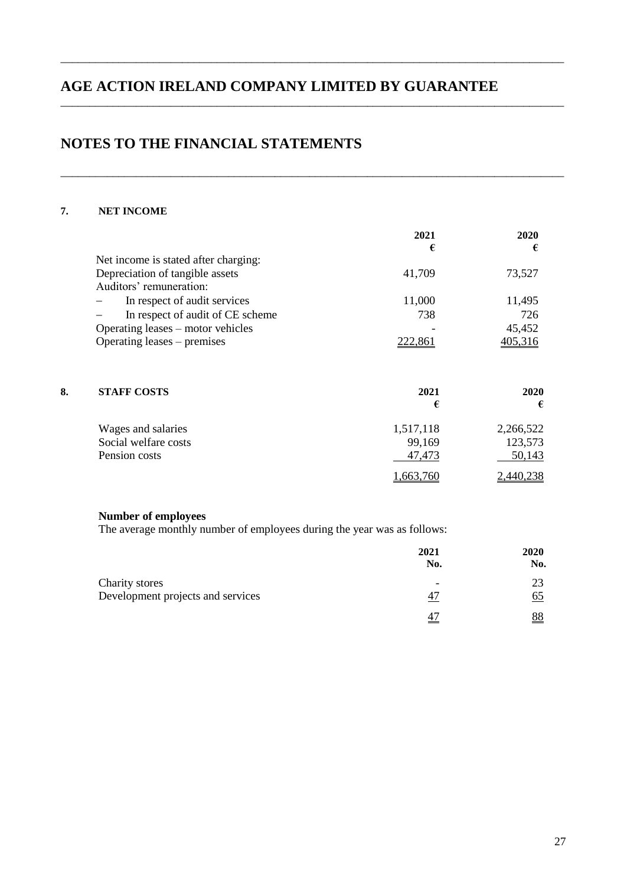\_\_\_\_\_\_\_\_\_\_\_\_\_\_\_\_\_\_\_\_\_\_\_\_\_\_\_\_\_\_\_\_\_\_\_\_\_\_\_\_\_\_\_\_\_\_\_\_\_\_\_\_\_\_\_\_\_\_\_\_\_\_\_\_\_\_\_\_\_\_\_\_\_\_\_\_\_\_\_\_\_\_\_\_\_\_\_

\_\_\_\_\_\_\_\_\_\_\_\_\_\_\_\_\_\_\_\_\_\_\_\_\_\_\_\_\_\_\_\_\_\_\_\_\_\_\_\_\_\_\_\_\_\_\_\_\_\_\_\_\_\_\_\_\_\_\_\_\_\_\_\_\_\_\_\_\_\_\_\_\_\_\_\_\_\_\_\_\_\_\_\_\_\_\_

\_\_\_\_\_\_\_\_\_\_\_\_\_\_\_\_\_\_\_\_\_\_\_\_\_\_\_\_\_\_\_\_\_\_\_\_\_\_\_\_\_\_\_\_\_\_\_\_\_\_\_\_\_\_\_\_\_\_\_\_\_\_\_\_\_\_\_\_\_\_\_\_\_\_\_\_\_\_\_\_\_\_\_\_\_\_\_

# **NOTES TO THE FINANCIAL STATEMENTS**

### **7. NET INCOME**

|                                      | 2021   | 2020    |
|--------------------------------------|--------|---------|
|                                      | €      | €       |
| Net income is stated after charging: |        |         |
| Depreciation of tangible assets      | 41,709 | 73,527  |
| Auditors' remuneration:              |        |         |
| In respect of audit services         | 11,000 | 11,495  |
| In respect of audit of CE scheme     | 738    | 726     |
| Operating leases $-$ motor vehicles  |        | 45,452  |
| Operating leases – premises          |        | 405.316 |
|                                      |        |         |
|                                      |        |         |

| 8. | <b>STAFF COSTS</b>   | 2021<br>€ | 2020<br>€ |
|----|----------------------|-----------|-----------|
|    | Wages and salaries   | 1,517,118 | 2,266,522 |
|    | Social welfare costs | 99,169    | 123,573   |
|    | Pension costs        | 47,473    | 50,143    |
|    |                      | 760       |           |

#### **Number of employees**

The average monthly number of employees during the year was as follows:

|                                   | 2021<br>No.              | 2020<br>No.    |
|-----------------------------------|--------------------------|----------------|
| Charity stores                    | $\overline{\phantom{0}}$ | 23             |
| Development projects and services | 47                       | 65             |
|                                   | 47                       | $\frac{88}{1}$ |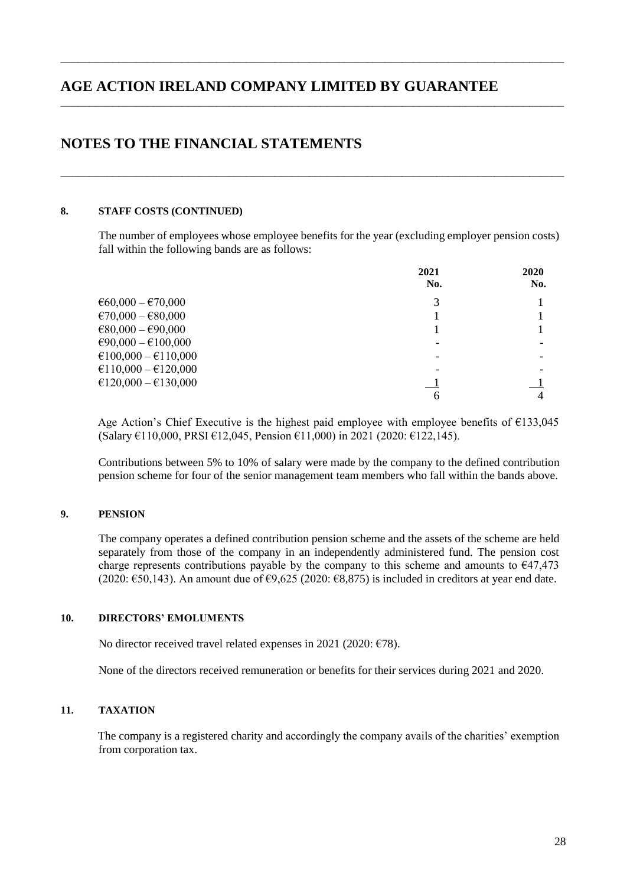\_\_\_\_\_\_\_\_\_\_\_\_\_\_\_\_\_\_\_\_\_\_\_\_\_\_\_\_\_\_\_\_\_\_\_\_\_\_\_\_\_\_\_\_\_\_\_\_\_\_\_\_\_\_\_\_\_\_\_\_\_\_\_\_\_\_\_\_\_\_\_\_\_\_\_\_\_\_\_\_\_\_\_\_\_\_\_

\_\_\_\_\_\_\_\_\_\_\_\_\_\_\_\_\_\_\_\_\_\_\_\_\_\_\_\_\_\_\_\_\_\_\_\_\_\_\_\_\_\_\_\_\_\_\_\_\_\_\_\_\_\_\_\_\_\_\_\_\_\_\_\_\_\_\_\_\_\_\_\_\_\_\_\_\_\_\_\_\_\_\_\_\_\_\_

\_\_\_\_\_\_\_\_\_\_\_\_\_\_\_\_\_\_\_\_\_\_\_\_\_\_\_\_\_\_\_\_\_\_\_\_\_\_\_\_\_\_\_\_\_\_\_\_\_\_\_\_\_\_\_\_\_\_\_\_\_\_\_\_\_\_\_\_\_\_\_\_\_\_\_\_\_\_\_\_\_\_\_\_\_\_\_

# **NOTES TO THE FINANCIAL STATEMENTS**

#### **8. STAFF COSTS (CONTINUED)**

The number of employees whose employee benefits for the year (excluding employer pension costs) fall within the following bands are as follows:

|                                                | 2021<br>No. | 2020<br>No. |
|------------------------------------------------|-------------|-------------|
| €60,000 – €70,000                              | 3           |             |
| $\epsilon$ 70,000 - $\epsilon$ 80,000          |             |             |
| $£80,000 - £90,000$                            |             |             |
| $\text{\large}690,000 - \text{\large}6100,000$ |             |             |
| $\text{\e}100,000 - \text{\e}110,000$          |             |             |
| $£110,000 - £120,000$                          |             |             |
| $£120,000 - £130,000$                          |             |             |
|                                                | 6           |             |

Age Action's Chief Executive is the highest paid employee with employee benefits of  $\epsilon$ 133,045 (Salary €110,000, PRSI €12,045, Pension €11,000) in 2021 (2020: €122,145).

Contributions between 5% to 10% of salary were made by the company to the defined contribution pension scheme for four of the senior management team members who fall within the bands above.

### **9. PENSION**

The company operates a defined contribution pension scheme and the assets of the scheme are held separately from those of the company in an independently administered fund. The pension cost charge represents contributions payable by the company to this scheme and amounts to  $\epsilon$ 47,473 (2020:  $\epsilon$ 50,143). An amount due of  $\epsilon$ 9,625 (2020:  $\epsilon$ 8,875) is included in creditors at year end date.

### **10. DIRECTORS' EMOLUMENTS**

No director received travel related expenses in 2021 (2020: €78).

None of the directors received remuneration or benefits for their services during 2021 and 2020.

### **11. TAXATION**

The company is a registered charity and accordingly the company avails of the charities' exemption from corporation tax.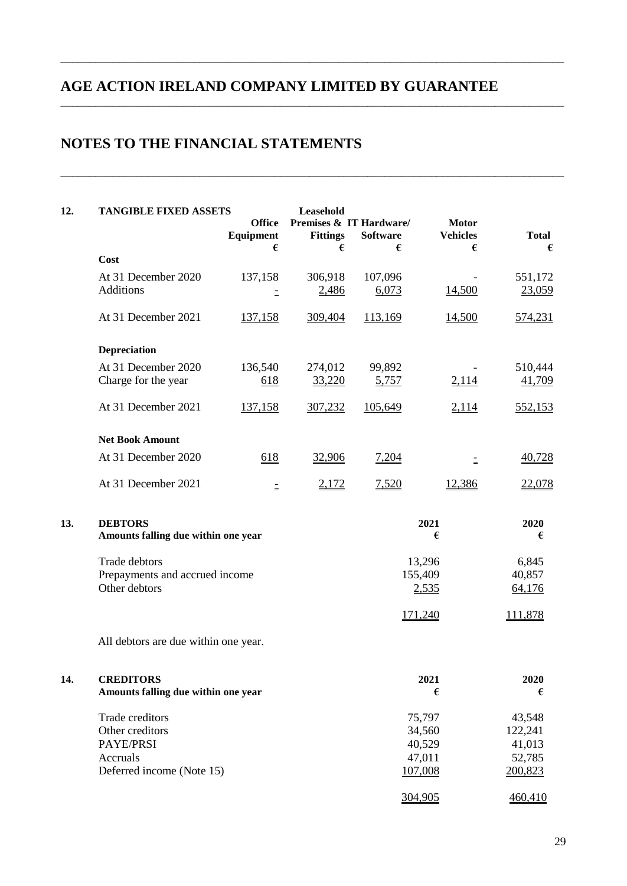\_\_\_\_\_\_\_\_\_\_\_\_\_\_\_\_\_\_\_\_\_\_\_\_\_\_\_\_\_\_\_\_\_\_\_\_\_\_\_\_\_\_\_\_\_\_\_\_\_\_\_\_\_\_\_\_\_\_\_\_\_\_\_\_\_\_\_\_\_\_\_\_\_\_\_\_\_\_\_\_\_\_\_\_\_\_\_

\_\_\_\_\_\_\_\_\_\_\_\_\_\_\_\_\_\_\_\_\_\_\_\_\_\_\_\_\_\_\_\_\_\_\_\_\_\_\_\_\_\_\_\_\_\_\_\_\_\_\_\_\_\_\_\_\_\_\_\_\_\_\_\_\_\_\_\_\_\_\_\_\_\_\_\_\_\_\_\_\_\_\_\_\_\_\_

\_\_\_\_\_\_\_\_\_\_\_\_\_\_\_\_\_\_\_\_\_\_\_\_\_\_\_\_\_\_\_\_\_\_\_\_\_\_\_\_\_\_\_\_\_\_\_\_\_\_\_\_\_\_\_\_\_\_\_\_\_\_\_\_\_\_\_\_\_\_\_\_\_\_\_\_\_\_\_\_\_\_\_\_\_\_\_

# **NOTES TO THE FINANCIAL STATEMENTS**

| 12. | <b>TANGIBLE FIXED ASSETS</b>                                                                    | <b>Office</b><br>Equipment<br>€ | Leasehold<br>Premises & IT Hardware/<br><b>Fittings</b><br>€ | <b>Software</b><br>€ | <b>Motor</b><br><b>Vehicles</b><br>€            | <b>Total</b><br>€                                |
|-----|-------------------------------------------------------------------------------------------------|---------------------------------|--------------------------------------------------------------|----------------------|-------------------------------------------------|--------------------------------------------------|
|     | Cost                                                                                            |                                 |                                                              |                      |                                                 |                                                  |
|     | At 31 December 2020<br>Additions                                                                | 137,158                         | 306,918<br>2,486                                             | 107,096<br>6,073     | 14,500                                          | 551,172<br>23,059                                |
|     | At 31 December 2021                                                                             | 137,158                         | 309,404                                                      | 113,169              | <u>14,500</u>                                   | 574,231                                          |
|     | Depreciation                                                                                    |                                 |                                                              |                      |                                                 |                                                  |
|     | At 31 December 2020<br>Charge for the year                                                      | 136,540<br>618                  | 274,012<br>33,220                                            | 99,892<br>5,757      | 2,114                                           | 510,444<br>41,709                                |
|     | At 31 December 2021                                                                             | 137,158                         | 307,232                                                      | 105,649              | 2,114                                           | 552,153                                          |
|     | <b>Net Book Amount</b>                                                                          |                                 |                                                              |                      |                                                 |                                                  |
|     | At 31 December 2020                                                                             | 618                             | 32,906                                                       | 7,204                | Ξ                                               | 40,728                                           |
|     | At 31 December 2021                                                                             | Ξ                               | 2,172                                                        | 7,520                | 12,386                                          | 22,078                                           |
| 13. | <b>DEBTORS</b><br>Amounts falling due within one year                                           |                                 |                                                              |                      | 2021<br>€                                       | 2020<br>€                                        |
|     | Trade debtors<br>Prepayments and accrued income<br>Other debtors                                |                                 |                                                              |                      | 13,296<br>155,409<br>2,535                      | 6,845<br>40,857<br>64,176                        |
|     |                                                                                                 |                                 |                                                              |                      | 171,240                                         | 111,878                                          |
|     | All debtors are due within one year.                                                            |                                 |                                                              |                      |                                                 |                                                  |
| 14. | <b>CREDITORS</b><br>Amounts falling due within one year                                         |                                 |                                                              |                      | 2021<br>€                                       | 2020<br>€                                        |
|     | <b>Trade creditors</b><br>Other creditors<br>PAYE/PRSI<br>Accruals<br>Deferred income (Note 15) |                                 |                                                              |                      | 75,797<br>34,560<br>40,529<br>47,011<br>107,008 | 43,548<br>122,241<br>41,013<br>52,785<br>200,823 |
|     |                                                                                                 |                                 |                                                              |                      | 304,905                                         | 460,410                                          |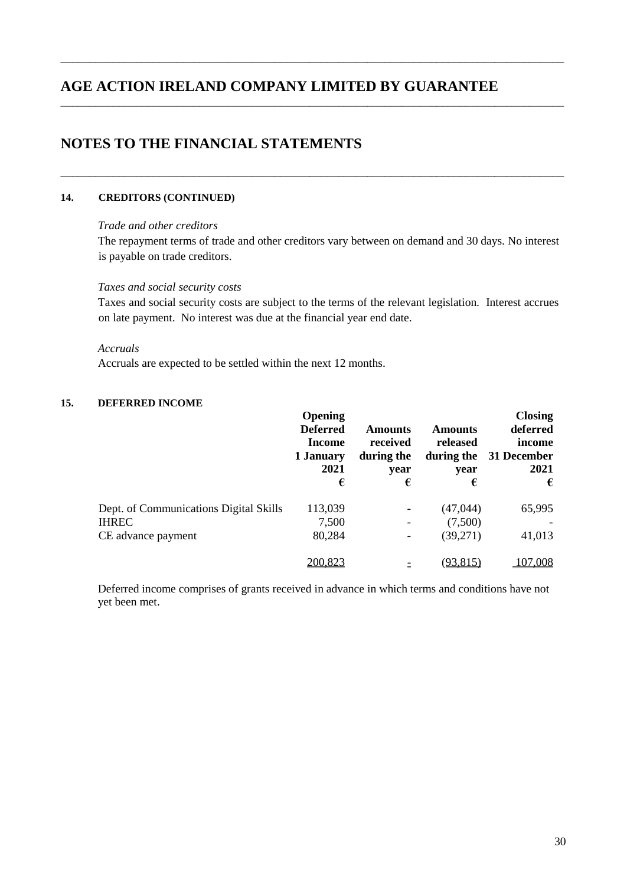\_\_\_\_\_\_\_\_\_\_\_\_\_\_\_\_\_\_\_\_\_\_\_\_\_\_\_\_\_\_\_\_\_\_\_\_\_\_\_\_\_\_\_\_\_\_\_\_\_\_\_\_\_\_\_\_\_\_\_\_\_\_\_\_\_\_\_\_\_\_\_\_\_\_\_\_\_\_\_\_\_\_\_\_\_\_\_

\_\_\_\_\_\_\_\_\_\_\_\_\_\_\_\_\_\_\_\_\_\_\_\_\_\_\_\_\_\_\_\_\_\_\_\_\_\_\_\_\_\_\_\_\_\_\_\_\_\_\_\_\_\_\_\_\_\_\_\_\_\_\_\_\_\_\_\_\_\_\_\_\_\_\_\_\_\_\_\_\_\_\_\_\_\_\_

\_\_\_\_\_\_\_\_\_\_\_\_\_\_\_\_\_\_\_\_\_\_\_\_\_\_\_\_\_\_\_\_\_\_\_\_\_\_\_\_\_\_\_\_\_\_\_\_\_\_\_\_\_\_\_\_\_\_\_\_\_\_\_\_\_\_\_\_\_\_\_\_\_\_\_\_\_\_\_\_\_\_\_\_\_\_\_

# **NOTES TO THE FINANCIAL STATEMENTS**

### **14. CREDITORS (CONTINUED)**

### *Trade and other creditors*

The repayment terms of trade and other creditors vary between on demand and 30 days. No interest is payable on trade creditors.

### *Taxes and social security costs*

Taxes and social security costs are subject to the terms of the relevant legislation. Interest accrues on late payment. No interest was due at the financial year end date.

### *Accruals*

Accruals are expected to be settled within the next 12 months.

### **15. DEFERRED INCOME**

|                                        | Opening<br><b>Deferred</b><br>Income<br>1 January<br>2021<br>€ | <b>Amounts</b><br>received<br>during the<br>year<br>€ | <b>Amounts</b><br>released<br>year<br>€ | <b>Closing</b><br>deferred<br>income<br>during the 31 December<br>2021<br>€ |
|----------------------------------------|----------------------------------------------------------------|-------------------------------------------------------|-----------------------------------------|-----------------------------------------------------------------------------|
| Dept. of Communications Digital Skills | 113,039                                                        |                                                       | (47, 044)                               | 65,995                                                                      |
| <b>IHREC</b>                           | 7,500                                                          |                                                       | (7,500)                                 |                                                                             |
| CE advance payment                     | 80,284                                                         |                                                       | (39,271)                                | 41,013                                                                      |
|                                        | 200,823                                                        |                                                       | (93,815)                                | 107,008                                                                     |

Deferred income comprises of grants received in advance in which terms and conditions have not yet been met.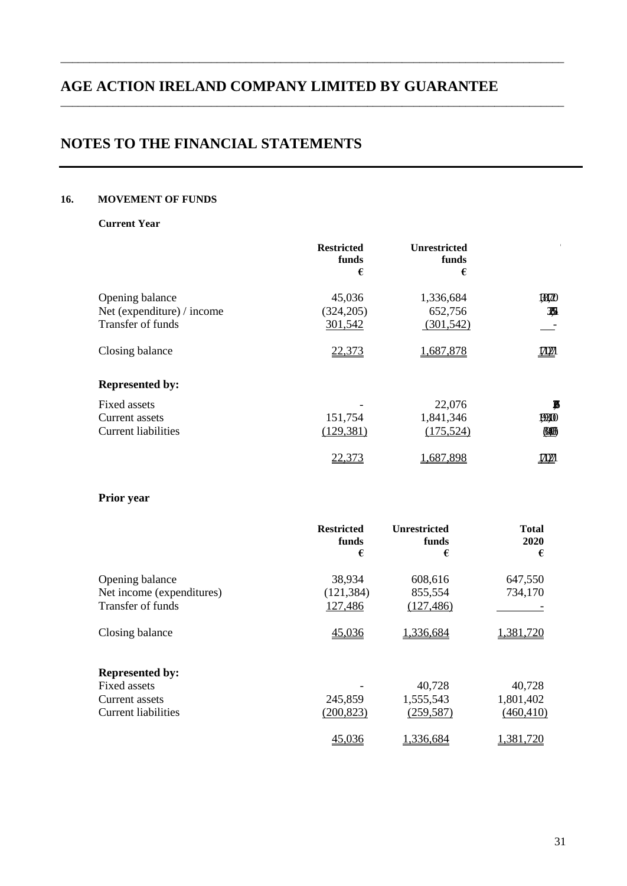\_\_\_\_\_\_\_\_\_\_\_\_\_\_\_\_\_\_\_\_\_\_\_\_\_\_\_\_\_\_\_\_\_\_\_\_\_\_\_\_\_\_\_\_\_\_\_\_\_\_\_\_\_\_\_\_\_\_\_\_\_\_\_\_\_\_\_\_\_\_\_\_\_\_\_\_\_\_\_\_\_\_\_\_\_\_\_

\_\_\_\_\_\_\_\_\_\_\_\_\_\_\_\_\_\_\_\_\_\_\_\_\_\_\_\_\_\_\_\_\_\_\_\_\_\_\_\_\_\_\_\_\_\_\_\_\_\_\_\_\_\_\_\_\_\_\_\_\_\_\_\_\_\_\_\_\_\_\_\_\_\_\_\_\_\_\_\_\_\_\_\_\_\_\_

# **NOTES TO THE FINANCIAL STATEMENTS**

### **16. MOVEMENT OF FUNDS**

#### **Current Year**

|                            | <b>Restricted</b><br>funds<br>€ | <b>Unrestricted</b><br>funds<br>€ |             |
|----------------------------|---------------------------------|-----------------------------------|-------------|
| Opening balance            | 45,036                          | 1,336,684                         | <b>IBID</b> |
| Net (expenditure) / income | (324, 205)                      | 652,756                           | 剟           |
| Transfer of funds          | 301,542                         | (301, 542)                        |             |
| Closing balance            | 22,373                          | 1,687,878                         | <u>ПРЛ</u>  |
| <b>Represented by:</b>     |                                 |                                   |             |
| Fixed assets               |                                 | 22,076                            | Ø           |
| Current assets             | 151,754                         | 1,841,346                         | 1980        |
| <b>Current liabilities</b> | (129, 381)                      | (175, 524)                        | <b>BO</b>   |
|                            | <u>22,373</u>                   | 1,687,898                         | ПШ          |

### **Prior year**

|                                                                                        | <b>Restricted</b><br>funds<br>€ | <b>Unrestricted</b><br>funds<br>€              | Total<br>2020<br>€                             |
|----------------------------------------------------------------------------------------|---------------------------------|------------------------------------------------|------------------------------------------------|
| Opening balance<br>Net income (expenditures)<br>Transfer of funds                      | 38,934<br>(121, 384)<br>127,486 | 608,616<br>855,554<br>(127, 486)               | 647,550<br>734,170                             |
| Closing balance                                                                        | 45,036                          | 1,336,684                                      | 1,381,720                                      |
| <b>Represented by:</b><br>Fixed assets<br>Current assets<br><b>Current liabilities</b> | 245,859<br>(200, 823)<br>45,036 | 40,728<br>1,555,543<br>(259, 587)<br>1,336,684 | 40,728<br>1,801,402<br>(460, 410)<br>1,381,720 |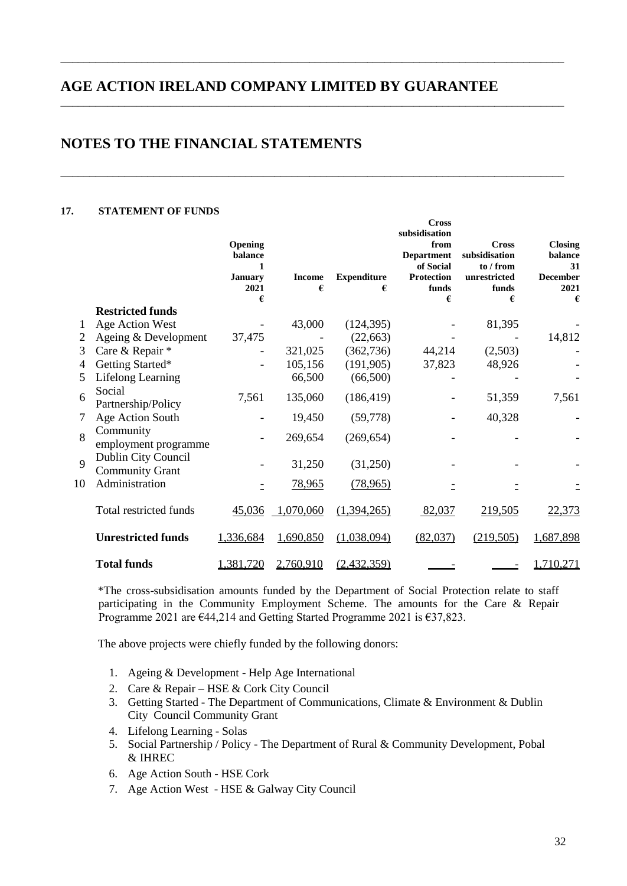\_\_\_\_\_\_\_\_\_\_\_\_\_\_\_\_\_\_\_\_\_\_\_\_\_\_\_\_\_\_\_\_\_\_\_\_\_\_\_\_\_\_\_\_\_\_\_\_\_\_\_\_\_\_\_\_\_\_\_\_\_\_\_\_\_\_\_\_\_\_\_\_\_\_\_\_\_\_\_\_\_\_\_\_\_\_\_

\_\_\_\_\_\_\_\_\_\_\_\_\_\_\_\_\_\_\_\_\_\_\_\_\_\_\_\_\_\_\_\_\_\_\_\_\_\_\_\_\_\_\_\_\_\_\_\_\_\_\_\_\_\_\_\_\_\_\_\_\_\_\_\_\_\_\_\_\_\_\_\_\_\_\_\_\_\_\_\_\_\_\_\_\_\_\_

\_\_\_\_\_\_\_\_\_\_\_\_\_\_\_\_\_\_\_\_\_\_\_\_\_\_\_\_\_\_\_\_\_\_\_\_\_\_\_\_\_\_\_\_\_\_\_\_\_\_\_\_\_\_\_\_\_\_\_\_\_\_\_\_\_\_\_\_\_\_\_\_\_\_\_\_\_\_\_\_\_\_\_\_\_\_\_

### **NOTES TO THE FINANCIAL STATEMENTS**

#### **17. STATEMENT OF FUNDS**

|                |                                               | Opening<br>balance<br>1<br><b>January</b><br>2021<br>€ | <b>Income</b><br>€ | <b>Expenditure</b> | <b>Cross</b><br>subsidisation<br>from<br><b>Department</b><br>of Social<br><b>Protection</b><br>funds<br>€ | <b>Cross</b><br>subsidisation<br>to / from<br>unrestricted<br>funds<br>€ | <b>Closing</b><br>balance<br>31<br><b>December</b><br>2021<br>€ |
|----------------|-----------------------------------------------|--------------------------------------------------------|--------------------|--------------------|------------------------------------------------------------------------------------------------------------|--------------------------------------------------------------------------|-----------------------------------------------------------------|
|                | <b>Restricted funds</b>                       |                                                        |                    |                    |                                                                                                            |                                                                          |                                                                 |
|                | Age Action West                               |                                                        | 43,000             | (124, 395)         |                                                                                                            | 81,395                                                                   |                                                                 |
| 2              | Ageing & Development                          | 37,475                                                 |                    | (22, 663)          |                                                                                                            |                                                                          | 14,812                                                          |
| 3              | Care & Repair *                               |                                                        | 321,025            | (362, 736)         | 44,214                                                                                                     | (2,503)                                                                  |                                                                 |
| 4              | Getting Started*                              |                                                        | 105,156            | (191, 905)         | 37,823                                                                                                     | 48,926                                                                   |                                                                 |
| 5              | <b>Lifelong Learning</b>                      |                                                        | 66,500             | (66,500)           |                                                                                                            |                                                                          |                                                                 |
| 6              | Social<br>Partnership/Policy                  | 7,561                                                  | 135,060            | (186, 419)         |                                                                                                            | 51,359                                                                   | 7,561                                                           |
| 7              | Age Action South                              |                                                        | 19,450             | (59,778)           |                                                                                                            | 40,328                                                                   |                                                                 |
| 8              | Community<br>employment programme             |                                                        | 269,654            | (269, 654)         |                                                                                                            |                                                                          |                                                                 |
| $\overline{Q}$ | Dublin City Council<br><b>Community Grant</b> |                                                        | 31,250             | (31,250)           |                                                                                                            |                                                                          |                                                                 |
| 10             | Administration                                |                                                        | <u>78,965</u>      | (78, 965)          |                                                                                                            |                                                                          |                                                                 |
|                | Total restricted funds                        | 45,036                                                 | 1,070,060          | (1,394,265)        | 82,037                                                                                                     | 219,505                                                                  | 22,373                                                          |
|                | <b>Unrestricted funds</b>                     | 1,336,684                                              | 1,690,850          | (1,038,094)        | (82,037)                                                                                                   | (219, 505)                                                               | 1,687,898                                                       |
|                | <b>Total funds</b>                            | ,381,720                                               | 2,760,910          | (2,432,359)        |                                                                                                            |                                                                          | 1,710,271                                                       |

\*The cross-subsidisation amounts funded by the Department of Social Protection relate to staff participating in the Community Employment Scheme. The amounts for the Care & Repair Programme 2021 are  $\epsilon$ 44,214 and Getting Started Programme 2021 is  $\epsilon$ 37,823.

The above projects were chiefly funded by the following donors:

- 1. Ageing & Development Help Age International
- 2. Care & Repair HSE & Cork City Council
- 3. Getting Started The Department of Communications, Climate & Environment & Dublin City Council Community Grant
- 4. Lifelong Learning Solas
- 5. Social Partnership / Policy The Department of Rural & Community Development, Pobal & IHREC
- 6. Age Action South HSE Cork
- 7. Age Action West HSE & Galway City Council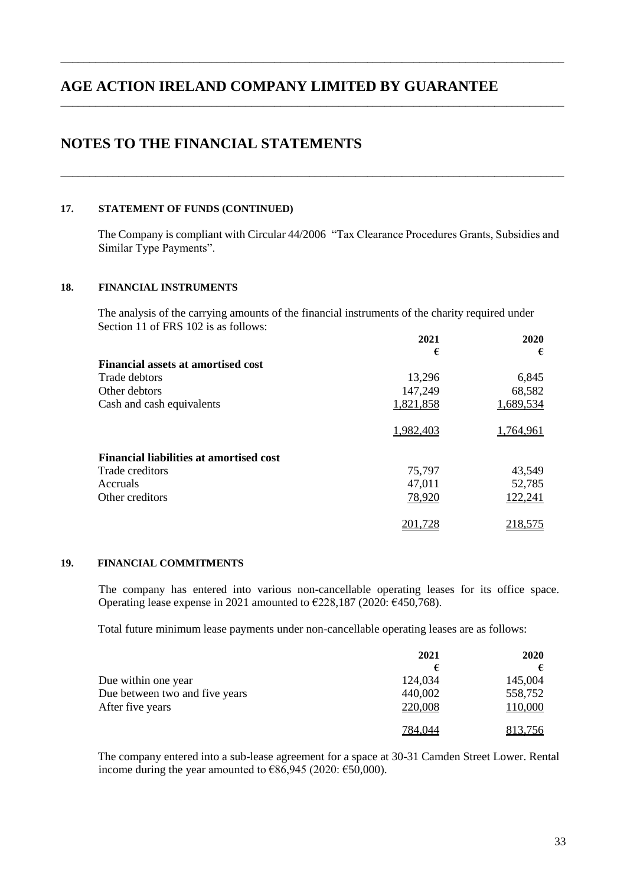\_\_\_\_\_\_\_\_\_\_\_\_\_\_\_\_\_\_\_\_\_\_\_\_\_\_\_\_\_\_\_\_\_\_\_\_\_\_\_\_\_\_\_\_\_\_\_\_\_\_\_\_\_\_\_\_\_\_\_\_\_\_\_\_\_\_\_\_\_\_\_\_\_\_\_\_\_\_\_\_\_\_\_\_\_\_\_

\_\_\_\_\_\_\_\_\_\_\_\_\_\_\_\_\_\_\_\_\_\_\_\_\_\_\_\_\_\_\_\_\_\_\_\_\_\_\_\_\_\_\_\_\_\_\_\_\_\_\_\_\_\_\_\_\_\_\_\_\_\_\_\_\_\_\_\_\_\_\_\_\_\_\_\_\_\_\_\_\_\_\_\_\_\_\_

\_\_\_\_\_\_\_\_\_\_\_\_\_\_\_\_\_\_\_\_\_\_\_\_\_\_\_\_\_\_\_\_\_\_\_\_\_\_\_\_\_\_\_\_\_\_\_\_\_\_\_\_\_\_\_\_\_\_\_\_\_\_\_\_\_\_\_\_\_\_\_\_\_\_\_\_\_\_\_\_\_\_\_\_\_\_\_

## **NOTES TO THE FINANCIAL STATEMENTS**

### **17. STATEMENT OF FUNDS (CONTINUED)**

The Company is compliant with Circular 44/2006 "Tax Clearance Procedures Grants, Subsidies and Similar Type Payments".

#### **18. FINANCIAL INSTRUMENTS**

The analysis of the carrying amounts of the financial instruments of the charity required under Section 11 of FRS 102 is as follows:

|                                                | 2021      | 2020      |
|------------------------------------------------|-----------|-----------|
|                                                | €         | €         |
| <b>Financial assets at amortised cost</b>      |           |           |
| Trade debtors                                  | 13,296    | 6,845     |
| Other debtors                                  | 147,249   | 68,582    |
| Cash and cash equivalents                      | 1,821,858 | 1,689,534 |
|                                                | 1,982,403 | 1,764,961 |
| <b>Financial liabilities at amortised cost</b> |           |           |
| Trade creditors                                | 75,797    | 43,549    |
| Accruals                                       | 47,011    | 52,785    |
| Other creditors                                | 78,920    | 122,241   |
|                                                | 201.728   | 218,575   |

#### **19. FINANCIAL COMMITMENTS**

The company has entered into various non-cancellable operating leases for its office space. Operating lease expense in 2021 amounted to  $\epsilon$ 228,187 (2020:  $\epsilon$ 450,768).

Total future minimum lease payments under non-cancellable operating leases are as follows:

|                                | 2021    | 2020    |
|--------------------------------|---------|---------|
|                                | €       |         |
| Due within one year            | 124,034 | 145,004 |
| Due between two and five years | 440,002 | 558,752 |
| After five years               | 220,008 | 110,000 |
|                                | 784.044 | 813.756 |

The company entered into a sub-lease agreement for a space at 30-31 Camden Street Lower. Rental income during the year amounted to  $\epsilon$ 86,945 (2020:  $\epsilon$ 50,000).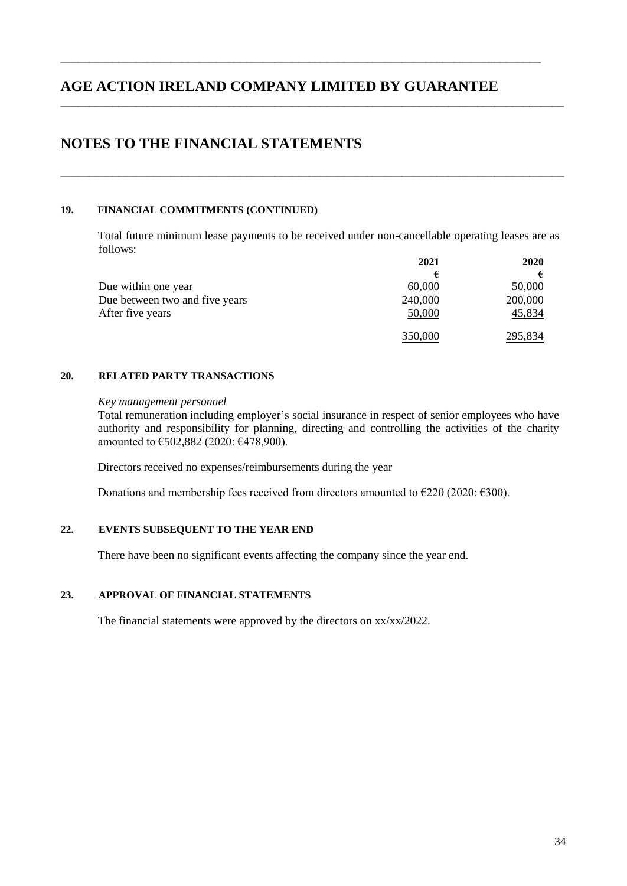\_\_\_\_\_\_\_\_\_\_\_\_\_\_\_\_\_\_\_\_\_\_\_\_\_\_\_\_\_\_\_\_\_\_\_\_\_\_\_\_\_\_\_\_\_\_\_\_\_\_\_\_\_\_\_\_\_\_\_\_\_\_\_\_\_\_\_\_\_\_\_\_\_\_\_\_\_\_\_\_\_\_\_

\_\_\_\_\_\_\_\_\_\_\_\_\_\_\_\_\_\_\_\_\_\_\_\_\_\_\_\_\_\_\_\_\_\_\_\_\_\_\_\_\_\_\_\_\_\_\_\_\_\_\_\_\_\_\_\_\_\_\_\_\_\_\_\_\_\_\_\_\_\_\_\_\_\_\_\_\_\_\_\_\_\_\_\_\_\_\_

\_\_\_\_\_\_\_\_\_\_\_\_\_\_\_\_\_\_\_\_\_\_\_\_\_\_\_\_\_\_\_\_\_\_\_\_\_\_\_\_\_\_\_\_\_\_\_\_\_\_\_\_\_\_\_\_\_\_\_\_\_\_\_\_\_\_\_\_\_\_\_\_\_\_\_\_\_\_\_\_\_\_\_\_\_\_\_

# **NOTES TO THE FINANCIAL STATEMENTS**

#### **19. FINANCIAL COMMITMENTS (CONTINUED)**

Total future minimum lease payments to be received under non-cancellable operating leases are as follows:

|                                | 2021    | 2020    |
|--------------------------------|---------|---------|
|                                |         |         |
| Due within one year            | 60,000  | 50,000  |
| Due between two and five years | 240,000 | 200,000 |
| After five years               | 50,000  | 45,834  |
|                                | 350.000 | 295.834 |

### **20. RELATED PARTY TRANSACTIONS**

#### *Key management personnel*

Total remuneration including employer's social insurance in respect of senior employees who have authority and responsibility for planning, directing and controlling the activities of the charity amounted to €502,882 (2020: €478,900).

Directors received no expenses/reimbursements during the year

Donations and membership fees received from directors amounted to  $\epsilon$ 220 (2020:  $\epsilon$ 300).

### **22. EVENTS SUBSEQUENT TO THE YEAR END**

There have been no significant events affecting the company since the year end.

### **23. APPROVAL OF FINANCIAL STATEMENTS**

The financial statements were approved by the directors on xx/xx/2022.